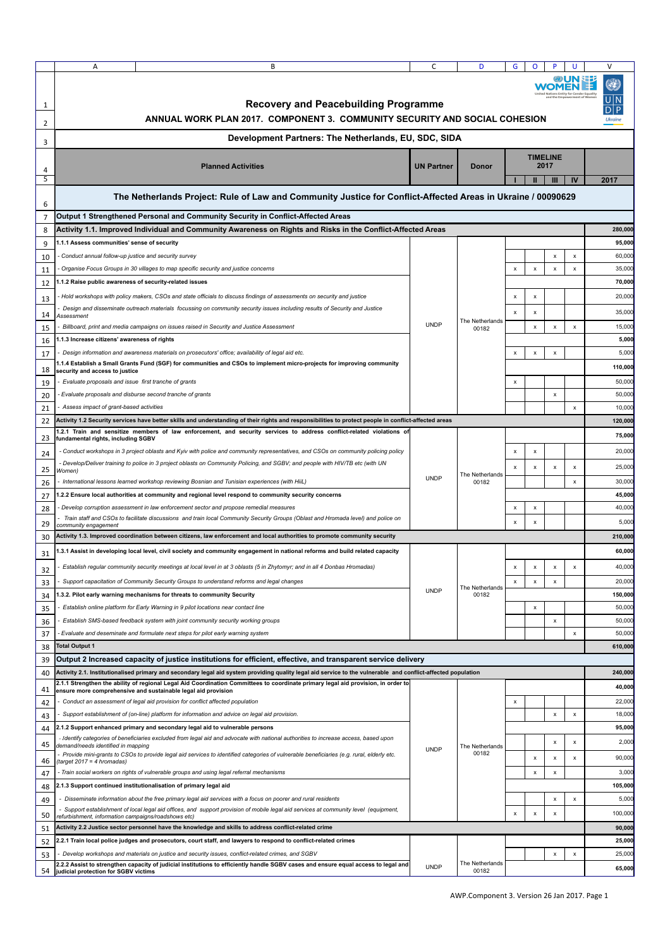|                | Α                                                       | B                                                                                                                                                                                                                                       | C                 | D                        | G                       | o                         |                    | U              | $\vee$  |
|----------------|---------------------------------------------------------|-----------------------------------------------------------------------------------------------------------------------------------------------------------------------------------------------------------------------------------------|-------------------|--------------------------|-------------------------|---------------------------|--------------------|----------------|---------|
| 1              |                                                         | <b>Recovery and Peacebuilding Programme</b>                                                                                                                                                                                             |                   |                          |                         |                           |                    |                |         |
| 2              |                                                         | ANNUAL WORK PLAN 2017. COMPONENT 3. COMMUNITY SECURITY AND SOCIAL COHESION                                                                                                                                                              |                   |                          |                         |                           |                    |                |         |
| 3              |                                                         | Development Partners: The Netherlands, EU, SDC, SIDA                                                                                                                                                                                    |                   |                          |                         |                           |                    |                |         |
| 4              |                                                         | <b>Planned Activities</b>                                                                                                                                                                                                               | <b>UN Partner</b> | <b>Donor</b>             | <b>TIMELINE</b><br>2017 |                           |                    |                |         |
| 5              |                                                         |                                                                                                                                                                                                                                         |                   |                          |                         |                           | Ш                  | IV             | 2017    |
| 6              |                                                         | The Netherlands Project: Rule of Law and Community Justice for Conflict-Affected Areas in Ukraine / 00090629                                                                                                                            |                   |                          |                         |                           |                    |                |         |
| $\overline{7}$ |                                                         | Output 1 Strengthened Personal and Community Security in Conflict-Affected Areas                                                                                                                                                        |                   |                          |                         |                           |                    |                |         |
| 8              |                                                         | Activity 1.1. Improved Individual and Community Awareness on Rights and Risks in the Conflict-Affected Areas                                                                                                                            |                   |                          |                         |                           |                    |                | 280,000 |
| 9              | 1.1.1 Assess communities' sense of security             |                                                                                                                                                                                                                                         |                   |                          |                         |                           |                    |                | 95,000  |
| 10             | Conduct annual follow-up justice and security survey    |                                                                                                                                                                                                                                         |                   |                          |                         |                           | x                  | x              | 60,000  |
| 11             |                                                         | Organise Focus Groups in 30 villages to map specific security and justice concerns                                                                                                                                                      |                   |                          | x                       | x                         | x                  | x              | 35,000  |
| 12             | 1.1.2 Raise public awareness of security-related issues |                                                                                                                                                                                                                                         |                   |                          |                         |                           |                    |                | 70,000  |
| 13             |                                                         | Hold workshops with policy makers, CSOs and state officials to discuss findings of assessments on security and justice                                                                                                                  |                   |                          | x                       | x                         |                    |                | 20,000  |
| 14             | Assessment                                              | Design and disseminate outreach materials focussing on community security issues including results of Security and Justice                                                                                                              |                   |                          | x                       | x                         |                    |                | 35,000  |
| 15             |                                                         | Billboard, print and media campaigns on issues raised in Security and Justice Assessment                                                                                                                                                | <b>UNDP</b>       | The Netherlands<br>00182 |                         | x                         | x                  | x              | 15,000  |
| 16             | 1.1.3 Increase citizens' awareness of rights            |                                                                                                                                                                                                                                         |                   |                          |                         |                           |                    |                | 5,000   |
| 17             |                                                         | Design information and awareness materials on prosecutors' office; availability of legal aid etc.                                                                                                                                       |                   |                          | x                       | $\pmb{\mathsf{x}}$        | x                  |                | 5,000   |
| 18             | security and access to justice                          | .1.4 Establish a Small Grants Fund (SGF) for communities and CSOs to implement micro-projects for improving community                                                                                                                   |                   |                          |                         |                           |                    |                | 110,000 |
| 19             | Evaluate proposals and issue first tranche of grants    |                                                                                                                                                                                                                                         |                   |                          | x                       |                           |                    |                | 50,000  |
| 20             |                                                         | Evaluate proposals and disburse second tranche of grants                                                                                                                                                                                |                   |                          |                         |                           | $\pmb{\mathsf{x}}$ |                | 50,000  |
| 21             | Assess impact of grant-based activities                 |                                                                                                                                                                                                                                         |                   |                          |                         |                           |                    | x              | 10,000  |
| 22             |                                                         | Activity 1.2 Security services have better skills and understanding of their rights and responsibilities to protect people in conflict-affected areas                                                                                   |                   |                          |                         |                           |                    |                | 120,000 |
|                |                                                         | .2.1 Train and sensitize members of law enforcement, and security services to address conflict-related violations of                                                                                                                    |                   |                          |                         |                           |                    |                | 75,000  |
| 23             | fundamental rights, including SGBV                      | - Conduct workshops in 3 project oblasts and Kyiv with police and community representatives, and CSOs on community policing policy                                                                                                      |                   |                          |                         |                           |                    |                | 20,000  |
| 24             |                                                         | - Develop/Deliver training to police in 3 project oblasts on Community Policing, and SGBV; and people with HIV/TB etc (with UN                                                                                                          |                   |                          | x                       | x                         |                    |                |         |
| 25             | Women)                                                  |                                                                                                                                                                                                                                         |                   | The Netherlands          | x                       | $\pmb{\mathsf{x}}$        | x                  | x              | 25,000  |
| 26             |                                                         | International lessons learned workshop reviewing Bosnian and Tunisian experiences (with HiiL)                                                                                                                                           | <b>UNDP</b>       | 00182                    |                         |                           |                    | x              | 30,000  |
| 27             |                                                         | .2.2 Ensure local authorities at community and regional level respond to community security concerns                                                                                                                                    |                   |                          |                         |                           |                    |                | 45,000  |
| 28             |                                                         | Develop corruption assessment in law enforcement sector and propose remedial measures                                                                                                                                                   |                   |                          | x                       | x                         |                    |                | 40,000  |
| 29             | community engagement                                    | Train staff and CSOs to facilitate discussions and train local Community Security Groups (Oblast and Hromada level) and police on                                                                                                       |                   |                          | x                       | X                         |                    |                | 5,000   |
| 30             |                                                         | Activity 1.3. Improved coordination between citizens, law enforcement and local authorities to promote community security                                                                                                               |                   |                          |                         |                           |                    |                | 210,000 |
| 31             |                                                         | .3.1 Assist in developing local level, civil society and community engagement in national reforms and build related capacity                                                                                                            |                   |                          |                         |                           |                    |                | 60,000  |
| 32             |                                                         | Establish regular community security meetings at local level in at 3 oblasts (5 in Zhytomyr; and in all 4 Donbas Hromadas)                                                                                                              |                   |                          | x                       | x                         | x                  | x              | 40,000  |
| 33             |                                                         | Support capacitation of Community Security Groups to understand reforms and legal changes                                                                                                                                               |                   |                          | x                       | x                         | x                  |                | 20,000  |
| 34             |                                                         | 1.3.2. Pilot early warning mechanisms for threats to community Security                                                                                                                                                                 | <b>UNDP</b>       | The Netherlands<br>00182 |                         |                           |                    |                | 150,000 |
| 35             |                                                         | Establish online platform for Early Warning in 9 pilot locations near contact line                                                                                                                                                      |                   |                          |                         | x                         |                    |                | 50,000  |
| 36             |                                                         | Establish SMS-based feedback system with joint community security working groups                                                                                                                                                        |                   |                          |                         |                           | x                  |                | 50,000  |
| 37             |                                                         | Evaluate and deseminate and formulate next steps for pilot early warning system                                                                                                                                                         |                   |                          |                         |                           |                    | x              | 50,000  |
| 38             | <b>Total Output 1</b>                                   |                                                                                                                                                                                                                                         |                   |                          |                         |                           |                    |                | 610,000 |
| 39             |                                                         | Output 2 Increased capacity of justice institutions for efficient, effective, and transparent service delivery                                                                                                                          |                   |                          |                         |                           |                    |                |         |
| 40             |                                                         | Activity 2.1. Institutionalised primary and secondary legal aid system providing quality legal aid service to the vulnerable and conflict-affected population                                                                           |                   |                          |                         |                           |                    |                | 240,000 |
| 41             |                                                         | 2.1.1 Strengthen the ability of regional Legal Aid Coordination Committees to coordinate primary legal aid provision, in order to<br>ensure more comprehensive and sustainable legal aid provision                                      |                   |                          |                         |                           |                    |                | 40,000  |
| 42             |                                                         | Conduct an assessment of legal aid provision for conflict affected population                                                                                                                                                           |                   |                          | x                       |                           |                    |                | 22,000  |
| 43             |                                                         | Support establishment of (on-line) platform for information and advice on legal aid provision.                                                                                                                                          | <b>UNDP</b>       | The Netherlands<br>00182 |                         |                           | $\pmb{\mathsf{x}}$ | x              | 18,000  |
| 44             |                                                         | 2.1.2 Support enhanced primary and secondary legal aid to vulnerable persons                                                                                                                                                            |                   |                          |                         |                           |                    |                | 95,000  |
| 45             | demand/needs identified in mapping                      | - Identify categories of beneficiaries excluded from legal aid and advocate with national authorities to increase access, based upon                                                                                                    |                   |                          |                         |                           | X                  | $\pmb{\times}$ | 2,000   |
|                |                                                         | Provide mini-grants to CSOs to provide legal aid services to identified categories of vulnerable beneficiaries (e.g. rural, elderly etc.                                                                                                |                   |                          |                         | x                         | x                  | x              | 90,000  |
| 46<br>47       | (target 2017 = 4 hromadas)                              | Train social workers on rights of vulnerable groups and using legal referral mechanisms                                                                                                                                                 |                   |                          |                         | x                         | x                  |                | 3,000   |
| 48             |                                                         | 2.1.3 Support continued institutionalisation of primary legal aid                                                                                                                                                                       |                   |                          |                         |                           |                    |                | 105,000 |
| 49             |                                                         | - Disseminate information about the free primary legal aid services with a focus on poorer and rural residents                                                                                                                          |                   |                          |                         |                           | X                  | x              | 5,000   |
|                |                                                         | Support establishment of local legal aid offices, and support provision of mobile legal aid services at community level (equipment,                                                                                                     |                   |                          | x                       | $\boldsymbol{\mathsf{x}}$ | X                  |                | 100,000 |
| 50             | refurbishment, information campaigns/roadshows etc)     |                                                                                                                                                                                                                                         |                   |                          |                         |                           |                    |                |         |
| 51             |                                                         | Activity 2.2 Justice sector personnel have the knowledge and skills to address conflict-related crime                                                                                                                                   |                   |                          |                         |                           |                    |                | 90,000  |
| 52             |                                                         | 2.2.1 Train local police judges and prosecutors, court staff, and lawyers to respond to conflict-related crimes                                                                                                                         |                   |                          |                         |                           |                    |                | 25,000  |
| 53             |                                                         | Develop workshops and materials on justice and security issues, conflict-related crimes, and SGBV<br>2.2.2 Assist to strengthen capacity of judicial institutions to efficiently handle SGBV cases and ensure equal access to legal and |                   | The Netherlands          |                         |                           | X                  | $\pmb{\times}$ | 25,000  |
| 54             | judicial protection for SGBV victims                    |                                                                                                                                                                                                                                         | <b>UNDP</b>       | 00182                    |                         |                           |                    |                | 65,000  |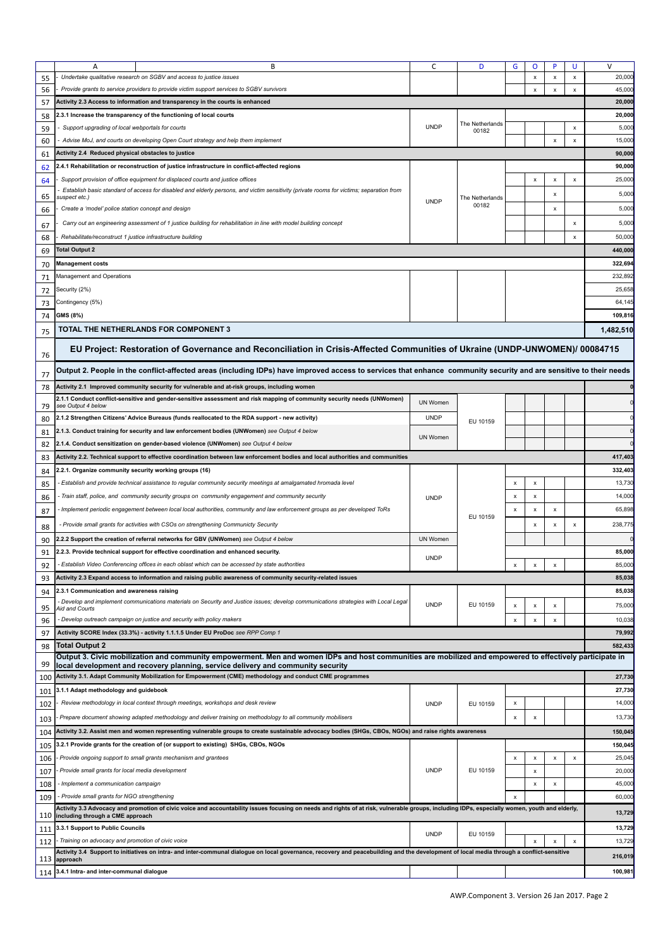|          | A                                                                                                                                                     | B                                                                                                                                                                                             | C               | D               | G                  | o                         |                           |                | $\vee$            |
|----------|-------------------------------------------------------------------------------------------------------------------------------------------------------|-----------------------------------------------------------------------------------------------------------------------------------------------------------------------------------------------|-----------------|-----------------|--------------------|---------------------------|---------------------------|----------------|-------------------|
| 55       |                                                                                                                                                       | Undertake qualitative research on SGBV and access to justice issues                                                                                                                           |                 |                 |                    | x                         | x                         | x              | 20,000            |
| 56       |                                                                                                                                                       | Provide grants to service providers to provide victim support services to SGBV survivors                                                                                                      |                 |                 |                    | $\boldsymbol{\mathsf{x}}$ | $\boldsymbol{\mathsf{x}}$ | x              | 45,000            |
| 57       |                                                                                                                                                       | Activity 2.3 Access to information and transparency in the courts is enhanced                                                                                                                 |                 |                 |                    |                           |                           |                | 20,000            |
|          |                                                                                                                                                       | 2.3.1 Increase the transparency of the functioning of local courts                                                                                                                            |                 |                 |                    |                           |                           |                | 20,000            |
| 58       |                                                                                                                                                       |                                                                                                                                                                                               | <b>UNDP</b>     | The Netherlands |                    |                           |                           |                |                   |
| 59       | Support upgrading of local webportals for courts                                                                                                      |                                                                                                                                                                                               |                 | 00182           |                    |                           |                           | x              | 5,000             |
| 60       |                                                                                                                                                       | Advise MoJ, and courts on developing Open Court strategy and help them implement                                                                                                              |                 |                 |                    |                           | x                         | x              | 15,000            |
| 61       | <b>Activity 2.4 Reduced physical obstacles to justice</b>                                                                                             |                                                                                                                                                                                               |                 |                 |                    |                           |                           |                | 90,000            |
| 62       |                                                                                                                                                       | 2.4.1 Rehabilitation or reconstruction of justice infrastructure in conflict-affected regions                                                                                                 |                 |                 |                    |                           |                           |                | 90,000            |
| 64       |                                                                                                                                                       | Support provision of office equipment for displaced courts and justice offices                                                                                                                |                 |                 |                    | x                         | x                         | x              | 25,000            |
| 65       | suspect etc.)                                                                                                                                         | Establish basic standard of access for disabled and elderly persons, and victim sensitivity (private rooms for victims; separation from                                                       |                 | The Netherlands |                    |                           | x                         |                | 5,000             |
| 66       | Create a 'model' police station concept and design                                                                                                    |                                                                                                                                                                                               | <b>UNDP</b>     | 00182           |                    |                           | x                         |                | 5,000             |
|          |                                                                                                                                                       | Carry out an engineering assessment of 1 justice building for rehabilitation in line with model building concept                                                                              |                 |                 |                    |                           |                           | x              | 5,000             |
| 67       |                                                                                                                                                       |                                                                                                                                                                                               |                 |                 |                    |                           |                           |                |                   |
| 68       | Rehabilitate/reconstruct 1 justice infrastructure building                                                                                            |                                                                                                                                                                                               |                 |                 |                    |                           |                           | $\pmb{\times}$ | 50,000            |
| 69       | <b>Total Output 2</b>                                                                                                                                 |                                                                                                                                                                                               |                 |                 |                    |                           |                           |                | 440,000           |
| 70       | <b>Management costs</b>                                                                                                                               |                                                                                                                                                                                               |                 |                 |                    |                           |                           |                | 322,694           |
| 71       | Management and Operations                                                                                                                             |                                                                                                                                                                                               |                 |                 |                    |                           |                           |                | 232,892           |
| 72       | Security (2%)                                                                                                                                         |                                                                                                                                                                                               |                 |                 |                    |                           |                           |                | 25,658            |
| 73       | Contingency (5%)                                                                                                                                      |                                                                                                                                                                                               |                 |                 |                    |                           |                           |                | 64,145            |
| 74       | GMS (8%)                                                                                                                                              |                                                                                                                                                                                               |                 |                 |                    |                           |                           |                | 109,816           |
| 75       |                                                                                                                                                       | TOTAL THE NETHERLANDS FOR COMPONENT 3                                                                                                                                                         |                 |                 |                    |                           |                           |                | 1,482,510         |
|          |                                                                                                                                                       |                                                                                                                                                                                               |                 |                 |                    |                           |                           |                |                   |
| 76       |                                                                                                                                                       | EU Project: Restoration of Governance and Reconciliation in Crisis-Affected Communities of Ukraine (UNDP-UNWOMEN)/ 00084715                                                                   |                 |                 |                    |                           |                           |                |                   |
| 77       |                                                                                                                                                       | Output 2. People in the conflict-affected areas (including IDPs) have improved access to services that enhance community security and are sensitive to their needs                            |                 |                 |                    |                           |                           |                |                   |
| 78       |                                                                                                                                                       | Activity 2.1 Improved community security for vulnerable and at-risk groups, including women                                                                                                   |                 |                 |                    |                           |                           |                |                   |
|          |                                                                                                                                                       | 2.1.1 Conduct conflict-sensitive and gender-sensitive assessment and risk mapping of community security needs (UNWomen)                                                                       | <b>UN Women</b> |                 |                    |                           |                           |                |                   |
| 79       | see Output 4 below                                                                                                                                    |                                                                                                                                                                                               |                 |                 |                    |                           |                           |                |                   |
| 80       |                                                                                                                                                       | 2.1.2 Strengthen Citizens' Advice Bureaus (funds reallocated to the RDA support - new activity)                                                                                               | <b>UNDP</b>     | EU 10159        |                    |                           |                           |                |                   |
| 81       |                                                                                                                                                       | 2.1.3. Conduct training for security and law enforcement bodies (UNWomen) see Output 4 below                                                                                                  | <b>UN Women</b> |                 |                    |                           |                           |                |                   |
| 82       |                                                                                                                                                       | 2.1.4. Conduct sensitization on gender-based violence (UNWomen) see Output 4 below                                                                                                            |                 |                 |                    |                           |                           |                |                   |
| 83       |                                                                                                                                                       | Activity 2.2. Technical support to effective coordination between law enforcement bodies and local authorities and communities                                                                |                 |                 |                    |                           |                           |                | 417,403           |
| 84       | 2.2.1. Organize community security working groups (16)                                                                                                |                                                                                                                                                                                               |                 |                 |                    |                           |                           |                | 332,403           |
| 85       |                                                                                                                                                       | Establish and provide technical assistance to regular community security meetings at amalgamated hromada level                                                                                |                 |                 | $\pmb{\mathsf{x}}$ | x                         |                           |                | 13,730            |
| 86       |                                                                                                                                                       | Train staff, police, and community security groups on community engagement and community security                                                                                             | <b>UNDP</b>     |                 | x                  | $\pmb{\mathsf{x}}$        |                           |                | 14,000            |
| 87       |                                                                                                                                                       | Implement periodic engagement between local local authorities, community and law enforcement groups as per developed ToRs                                                                     |                 |                 | x                  | x                         | $\boldsymbol{\mathsf{x}}$ |                | 65,898            |
| 88       |                                                                                                                                                       | - Provide small grants for activities with CSOs on strengthening Communicty Security                                                                                                          |                 | EU 10159        |                    | $\pmb{\mathsf{x}}$        | X                         | x              | 238,775           |
| 90       |                                                                                                                                                       | 2.2.2 Support the creation of referral networks for GBV (UNWomen) see Output 4 below                                                                                                          | <b>UN Women</b> |                 |                    |                           |                           |                |                   |
| 91       |                                                                                                                                                       | 2.2.3. Provide technical support for effective coordination and enhanced security.                                                                                                            |                 |                 |                    |                           |                           |                | 85,000            |
|          |                                                                                                                                                       | Establish Video Conferencing offices in each oblast which can be accessed by state authorities                                                                                                | <b>UNDP</b>     |                 | x                  | х                         | X                         |                | 85,000            |
| 92<br>93 |                                                                                                                                                       | Activity 2.3 Expand access to information and raising public awareness of community security-related issues                                                                                   |                 |                 |                    |                           |                           |                | 85,038            |
|          |                                                                                                                                                       |                                                                                                                                                                                               |                 |                 |                    |                           |                           |                | 85,038            |
| 94       | 2.3.1 Communication and awareness raising                                                                                                             | Develop and implement communications materials on Security and Justice issues; develop communications strategies with Local Legal                                                             |                 |                 |                    |                           |                           |                |                   |
| 95       | Aid and Courts                                                                                                                                        |                                                                                                                                                                                               | <b>UNDP</b>     | EU 10159        | х                  | x                         | x                         |                | 75,000            |
| 96       |                                                                                                                                                       | Develop outreach campaign on justice and security with policy makers                                                                                                                          |                 |                 | x                  | $\pmb{\mathsf{x}}$        | x                         |                | 10,038            |
| 97       |                                                                                                                                                       | Activity SCORE Index (33.3%) - activity 1.1.1.5 Under EU ProDoc see RPP Comp 1                                                                                                                |                 |                 |                    |                           |                           |                | 79,992            |
| 98       | <b>Total Output 2</b>                                                                                                                                 |                                                                                                                                                                                               |                 |                 |                    |                           |                           |                | 582,433           |
| 99       |                                                                                                                                                       | Output 3. Civic mobilization and community empowerment. Men and women IDPs and host communities are mobilized and empowered to effectively participate in                                     |                 |                 |                    |                           |                           |                |                   |
| 100      |                                                                                                                                                       | local development and recovery planning, service delivery and community security<br>Activity 3.1. Adapt Community Mobilization for Empowerment (CME) methodology and conduct CME programmes   |                 |                 |                    |                           |                           |                | 27,730            |
|          | 3.1.1 Adapt methodology and guidebook                                                                                                                 |                                                                                                                                                                                               |                 |                 |                    |                           |                           |                | 27,730            |
| 101      |                                                                                                                                                       | Review methodology in local context through meetings, workshops and desk review                                                                                                               | <b>UNDP</b>     | EU 10159        | x                  |                           |                           |                | 14,000            |
| 102      |                                                                                                                                                       |                                                                                                                                                                                               |                 |                 |                    |                           |                           |                |                   |
| 103      |                                                                                                                                                       | Prepare document showing adapted methodology and deliver training on methodology to all community mobilisers                                                                                  |                 |                 | x                  | $\pmb{\mathsf{x}}$        |                           |                | 13,730<br>150,045 |
| 104      | Activity 3.2. Assist men and women representing vulnerable groups to create sustainable advocacy bodies (SHGs, CBOs, NGOs) and raise rights awareness |                                                                                                                                                                                               |                 |                 |                    |                           |                           |                |                   |
| 105      |                                                                                                                                                       | 3.2.1 Provide grants for the creation of (or support to existing) SHGs, CBOs, NGOs                                                                                                            |                 |                 |                    |                           | 150,045                   |                |                   |
| 106      |                                                                                                                                                       | Provide ongoing support to small grants mechanism and grantees                                                                                                                                |                 |                 | x                  | X                         | x                         | x              | 25,045            |
| 107      | Provide small grants for local media development                                                                                                      |                                                                                                                                                                                               | <b>UNDP</b>     | EU 10159        |                    | $\pmb{\mathsf{x}}$        |                           |                | 20,000            |
| 108      | - Implement a communication campaign                                                                                                                  |                                                                                                                                                                                               |                 |                 |                    | x                         | x                         |                | 45,000            |
| 109      | Provide small grants for NGO strengthening                                                                                                            | Activity 3.3 Advocacy and promotion of civic voice and accountability issues focusing on needs and rights of at risk, vulnerable groups, including IDPs, especially women, youth and elderly, |                 |                 | x                  |                           |                           |                | 60,000            |
| 110      | including through a CME approach                                                                                                                      |                                                                                                                                                                                               |                 |                 |                    |                           |                           |                | 13,729            |
| 111      | 3.3.1 Support to Public Councils                                                                                                                      |                                                                                                                                                                                               |                 |                 |                    |                           |                           |                | 13,729            |
| 112      | Training on advocacy and promotion of civic voice                                                                                                     |                                                                                                                                                                                               | <b>UNDP</b>     | EU 10159        |                    | x                         |                           | x              | 13,729            |
|          |                                                                                                                                                       | Activity 3.4 Support to initiatives on intra- and inter-communal dialogue on local governance, recovery and peacebuilding and the development of local media through a conflict-sensitive     |                 |                 |                    |                           |                           |                | 216,019           |
|          | 113 approach<br>114 3.4.1 Intra- and inter-communal dialogue                                                                                          |                                                                                                                                                                                               |                 |                 |                    |                           |                           |                | 100,981           |
|          |                                                                                                                                                       |                                                                                                                                                                                               |                 |                 |                    |                           |                           |                |                   |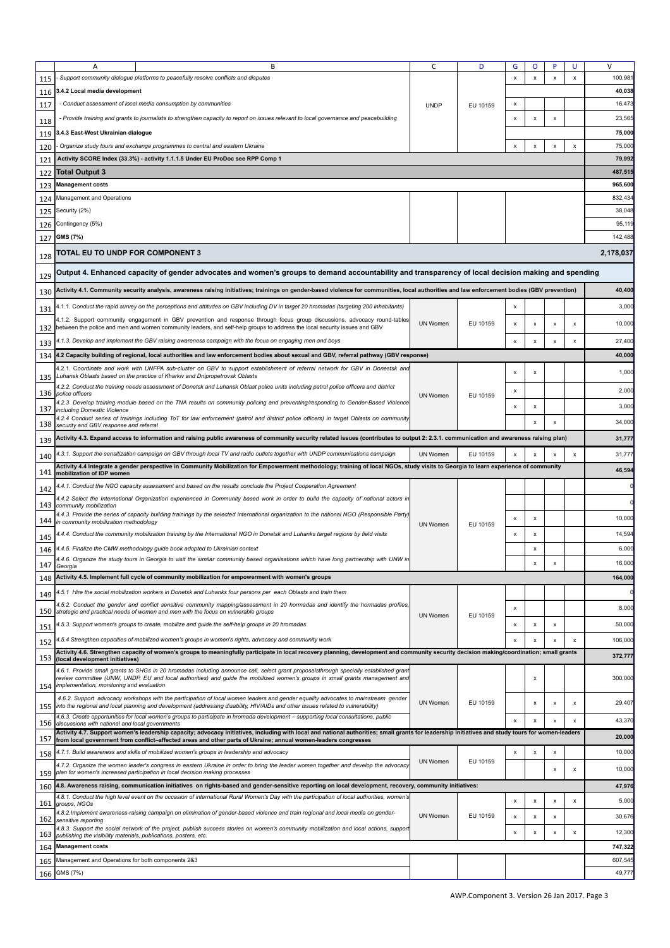| Support community dialogue platforms to peacefully resolve conflicts and disputes<br>100,98<br>x<br>X<br>x<br>x<br>115<br>40,038<br>3.4.2 Local media development<br>116<br>- Conduct assessment of local media consumption by communities<br>16,473<br>X<br>117<br><b>UNDP</b><br>EU 10159<br>Provide training and grants to journalists to strengthen capacity to report on issues relevant to local governance and peacebuilding<br>23,565<br>x<br>x<br>x<br>118<br>3.4.3 East-West Ukrainian dialogue<br>75,000<br>119<br>75,000<br>Organize study tours and exchange programmes to central and eastern Ukraine<br>x<br>$\boldsymbol{\mathsf{x}}$<br>X<br>120<br>X<br>79,992<br>Activity SCORE Index (33.3%) - activity 1.1.1.5 Under EU ProDoc see RPP Comp 1<br>121<br>487,51<br><b>Total Output 3</b><br>122<br>965,600<br><b>Management costs</b><br>123<br>Management and Operations<br>832,43<br>124<br>38,048<br>Security (2%)<br>125<br>95,119<br>Contingency (5%)<br>126<br>GMS (7%)<br>142,488<br>127<br><b>FOTAL EU TO UNDP FOR COMPONENT 3</b><br>128<br>Output 4. Enhanced capacity of gender advocates and women's groups to demand accountability and transparency of local decision making and spending<br>129<br>Activity 4.1. Community security analysis, awareness raising initiatives; trainings on gender-based violence for communities, local authorities and law enforcement bodies (GBV prevention)<br>130<br>1.1.1. Conduct the rapid survey on the perceptions and attitudes on GBV including DV in target 20 hromadas (targeting 200 inhabitants)<br>3,000<br>X<br>131<br>4.1.2. Support community engagement in GBV prevention and response through focus group discussions, advocacy round-tables<br><b>UN Women</b><br>EU 10159<br>10,000<br>х<br>x<br>x<br>x<br>132 between the police and men and women community leaders, and self-help groups to address the local security issues and GBV<br>1.1.3. Develop and implement the GBV raising awareness campaign with the focus on engaging men and boys<br>27,400<br>x<br>x<br>x<br>x<br>133<br>4.2 Capacity building of regional, local authorities and law enforcement bodies about sexual and GBV, referral pathway (GBV response)<br>40,000<br>134<br>4.2.1. Coordinate and work with UNFPA sub-cluster on GBV to support establishment of referral network for GBV in Donestsk and<br>1,000<br>x<br>x<br>Luhansk Oblasts based on the practice of Kharkiv and Dnipropetrovsk Oblasts<br>135<br>4.2.2. Conduct the training needs assessment of Donetsk and Luhansk Oblast police units including patrol police officers and district<br>2,000<br>x<br>136 police officers<br><b>UN Women</b><br>EU 10159<br>4.2.3 Develop training module based on the TNA results on community policing and preventing/responding to Gender-Based Violence<br>3,000<br>$\boldsymbol{\mathsf{x}}$<br>X<br>137 including Domestic Violence<br>4.2.4 Conduct series of trainings including ToT for law enforcement (patrol and district police officers) in target Oblasts on community<br>34,000<br>$\boldsymbol{\mathsf{x}}$<br>X<br>138 security and GBV response and referral<br>Activity 4.3. Expand access to information and raising public awareness of community security related issues (contributes to output 2: 2.3.1. communication and awareness raising plan)<br>31,777<br>139<br>1.3.1. Support the sensitization campaign on GBV through local TV and radio outlets together with UNDP communications campaign<br><b>UN Women</b><br>EU 10159<br>x<br>31,777<br>$\boldsymbol{\mathsf{x}}$<br>140<br>Activity 4.4 Integrate a gender perspective in Community Mobilization for Empowerment methodology; training of local NGOs, study visits to Georgia to learn experience of community<br>46,594<br>141<br>mobilization of IDP women<br>.4.1. Conduct the NGO capacity assessment and based on the results conclude the Project Cooperation Agreement<br>142<br>4.4.2 Select the International Organization experienced in Community based work in order to build the capacity of national actors in<br>143 community mobilization<br>4.4.3. Provide the series of capacity building trainings by the selected international organization to the national NGO (Responsible Party)<br>10,000<br>x<br>x<br>in community mobilization methodology<br>144  <br><b>UN Women</b><br>EU 10159<br>14,594<br>1.4.4. Conduct the community mobilization training by the International NGO in Donetsk and Luhanks target regions by field visits<br>X<br>X<br>145<br>6,000<br>4.4.5. Finalize the CMW methodology guide book adopted to Ukrainian context<br>x<br>146<br>4.4.6. Organize the study tours in Georgia to visit the similar community based organisations which have long partnership with UNW in<br>16,000<br>14/ Georgia<br>148 Activity 4.5. Implement full cycle of community mobilization for empowerment with women's groups<br>164,000<br>4.5.1 Hire the social mobilization workers in Donetsk and Luhanks four persons per each Oblasts and train them<br>149<br>4.5.2. Conduct the gender and conflict sensitive community mapping/assessment in 20 hormadas and identify the hormadas profiles,<br>8,000<br>x<br>150<br>strategic and practical needs of women and men with the focus on vulnerable groups<br><b>UN Women</b><br>EU 10159<br>5.3. Support women's groups to create, mobilize and quide the self-help groups in 20 hromadas<br>50,000<br>x<br>x<br>x<br>151<br>4.5.4 Strengthen capacities of mobilized women's groups in women's rights, advocacy and community work<br>x<br>106,000<br>$\boldsymbol{\mathsf{x}}$<br>x<br>X<br>152<br>Activity 4.6. Strengthen capacity of women's groups to meaningfully participate in local recovery planning, development and community security decision making/coordination; small grants<br>372,777<br>153<br>(local development initiatives)<br>4.6.1. Provide small grants to SHGs in 20 hromadas including announce call, select grant proposalsthrough specially established grant<br>review committee (UNW, UNDP, EU and local authorities) and quide the mobilized women's groups in small grants management and<br>x<br>implementation, monitoring and evaluation<br>154<br>4.6.2. Support advocacy workshops with the participation of local women leaders and gender equality advocates to mainstream gender<br>UN Women<br>EU 10159<br>29,407<br>x<br>x<br>X<br>155 into the regional and local planning and development (addressing disability, HIV/AIDs and other issues related to vulnerability)<br>4.6.3. Create opportunities for local women's groups to participate in hromada development – supporting local consultations, public<br>43,370<br>$\boldsymbol{\mathsf{x}}$<br>x<br>x<br>156<br>discussions with national and local governments<br>Activity 4.7. Support women's leadership capacity; advocacy initiatives, including with local and national authorities; small grants for leadership initiatives and study tours for women-leaders<br>20,000<br>157<br>from local government from conflict-affected areas and other parts of Ukraine; annual women-leaders congresses<br>4.7.1. Build awareness and skills of mobilized women's groups in leadership and advocacy<br>10,000<br>x<br>x<br>x<br>158<br>UN Women<br>EU 10159<br>4.7.2. Organize the women leader's congress in eastern Ukraine in order to bring the leader women together and develop the advocacy<br>x<br>x<br>159 plan for women's increased participation in local decision making processes<br>4.8. Awareness raising, communication initiatives on rights-based and gender-sensitive reporting on local development, recovery, community initiatives:<br>47,976<br>160<br>4.8.1. Conduct the high level event on the occasion of international Rural Women's Day with the participation of local authorities, women's<br>5,000<br>x<br>x<br>x<br>x<br>161<br>groups, NGOs<br>4.8.2. Implement awareness-raising campaign on elimination of gender-based violence and train regional and local media on gender-<br><b>UN Women</b><br>EU 10159<br>30,676<br>x<br>x<br>х<br>162 sensitive reporting<br>4.8.3. Support the social network of the project, publish success stories on women's community mobilization and local actions, support<br>x<br>12,300<br>x<br>x<br>x<br>163 publishing the visibility materials, publications, posters, etc.<br>164 Management costs<br>747,322<br>Management and Operations for both components 2&3<br>607,545<br>165<br>166 GMS (7%)<br>49,777 | Α | B | C | D | G | O | P | U | V         |
|------------------------------------------------------------------------------------------------------------------------------------------------------------------------------------------------------------------------------------------------------------------------------------------------------------------------------------------------------------------------------------------------------------------------------------------------------------------------------------------------------------------------------------------------------------------------------------------------------------------------------------------------------------------------------------------------------------------------------------------------------------------------------------------------------------------------------------------------------------------------------------------------------------------------------------------------------------------------------------------------------------------------------------------------------------------------------------------------------------------------------------------------------------------------------------------------------------------------------------------------------------------------------------------------------------------------------------------------------------------------------------------------------------------------------------------------------------------------------------------------------------------------------------------------------------------------------------------------------------------------------------------------------------------------------------------------------------------------------------------------------------------------------------------------------------------------------------------------------------------------------------------------------------------------------------------------------------------------------------------------------------------------------------------------------------------------------------------------------------------------------------------------------------------------------------------------------------------------------------------------------------------------------------------------------------------------------------------------------------------------------------------------------------------------------------------------------------------------------------------------------------------------------------------------------------------------------------------------------------------------------------------------------------------------------------------------------------------------------------------------------------------------------------------------------------------------------------------------------------------------------------------------------------------------------------------------------------------------------------------------------------------------------------------------------------------------------------------------------------------------------------------------------------------------------------------------------------------------------------------------------------------------------------------------------------------------------------------------------------------------------------------------------------------------------------------------------------------------------------------------------------------------------------------------------------------------------------------------------------------------------------------------------------------------------------------------------------------------------------------------------------------------------------------------------------------------------------------------------------------------------------------------------------------------------------------------------------------------------------------------------------------------------------------------------------------------------------------------------------------------------------------------------------------------------------------------------------------------------------------------------------------------------------------------------------------------------------------------------------------------------------------------------------------------------------------------------------------------------------------------------------------------------------------------------------------------------------------------------------------------------------------------------------------------------------------------------------------------------------------------------------------------------------------------------------------------------------------------------------------------------------------------------------------------------------------------------------------------------------------------------------------------------------------------------------------------------------------------------------------------------------------------------------------------------------------------------------------------------------------------------------------------------------------------------------------------------------------------------------------------------------------------------------------------------------------------------------------------------------------------------------------------------------------------------------------------------------------------------------------------------------------------------------------------------------------------------------------------------------------------------------------------------------------------------------------------------------------------------------------------------------------------------------------------------------------------------------------------------------------------------------------------------------------------------------------------------------------------------------------------------------------------------------------------------------------------------------------------------------------------------------------------------------------------------------------------------------------------------------------------------------------------------------------------------------------------------------------------------------------------------------------------------------------------------------------------------------------------------------------------------------------------------------------------------------------------------------------------------------------------------------------------------------------------------------------------------------------------------------------------------------------------------------------------------------------------------------------------------------------------------------------------------------------------------------------------------------------------------------------------------------------------------------------------------------------------------------------------------------------------------------------------------------------------------------------------------------------------------------------------------------------------------------------------------------------------------------------------------------------------------------------------------------------------------------------------------------------------------------------------------------------------------------------------------------------------------------------------------------------------------------------------------------------------------------------------------------------------------------------------------------------------------------------------------------------------------------------------------------------------------------------------------------------------------------------------------------------------------------------------------------------------------------------------------------------------------------------------------------------------------------------------------------------------------------------------------------------------------------------------------------------------------------------------------------------------------------------------------------------------------------------------------------------------------------|---|---|---|---|---|---|---|---|-----------|
|                                                                                                                                                                                                                                                                                                                                                                                                                                                                                                                                                                                                                                                                                                                                                                                                                                                                                                                                                                                                                                                                                                                                                                                                                                                                                                                                                                                                                                                                                                                                                                                                                                                                                                                                                                                                                                                                                                                                                                                                                                                                                                                                                                                                                                                                                                                                                                                                                                                                                                                                                                                                                                                                                                                                                                                                                                                                                                                                                                                                                                                                                                                                                                                                                                                                                                                                                                                                                                                                                                                                                                                                                                                                                                                                                                                                                                                                                                                                                                                                                                                                                                                                                                                                                                                                                                                                                                                                                                                                                                                                                                                                                                                                                                                                                                                                                                                                                                                                                                                                                                                                                                                                                                                                                                                                                                                                                                                                                                                                                                                                                                                                                                                                                                                                                                                                                                                                                                                                                                                                                                                                                                                                                                                                                                                                                                                                                                                                                                                                                                                                                                                                                                                                                                                                                                                                                                                                                                                                                                                                                                                                                                                                                                                                                                                                                                                                                                                                                                                                                                                                                                                                                                                                                                                                                                                                                                                                                                                                                                                                                                                                                                                                                                                                                                                                                                                                                                                                                                                                                                                                                            |   |   |   |   |   |   |   |   |           |
|                                                                                                                                                                                                                                                                                                                                                                                                                                                                                                                                                                                                                                                                                                                                                                                                                                                                                                                                                                                                                                                                                                                                                                                                                                                                                                                                                                                                                                                                                                                                                                                                                                                                                                                                                                                                                                                                                                                                                                                                                                                                                                                                                                                                                                                                                                                                                                                                                                                                                                                                                                                                                                                                                                                                                                                                                                                                                                                                                                                                                                                                                                                                                                                                                                                                                                                                                                                                                                                                                                                                                                                                                                                                                                                                                                                                                                                                                                                                                                                                                                                                                                                                                                                                                                                                                                                                                                                                                                                                                                                                                                                                                                                                                                                                                                                                                                                                                                                                                                                                                                                                                                                                                                                                                                                                                                                                                                                                                                                                                                                                                                                                                                                                                                                                                                                                                                                                                                                                                                                                                                                                                                                                                                                                                                                                                                                                                                                                                                                                                                                                                                                                                                                                                                                                                                                                                                                                                                                                                                                                                                                                                                                                                                                                                                                                                                                                                                                                                                                                                                                                                                                                                                                                                                                                                                                                                                                                                                                                                                                                                                                                                                                                                                                                                                                                                                                                                                                                                                                                                                                                                            |   |   |   |   |   |   |   |   |           |
|                                                                                                                                                                                                                                                                                                                                                                                                                                                                                                                                                                                                                                                                                                                                                                                                                                                                                                                                                                                                                                                                                                                                                                                                                                                                                                                                                                                                                                                                                                                                                                                                                                                                                                                                                                                                                                                                                                                                                                                                                                                                                                                                                                                                                                                                                                                                                                                                                                                                                                                                                                                                                                                                                                                                                                                                                                                                                                                                                                                                                                                                                                                                                                                                                                                                                                                                                                                                                                                                                                                                                                                                                                                                                                                                                                                                                                                                                                                                                                                                                                                                                                                                                                                                                                                                                                                                                                                                                                                                                                                                                                                                                                                                                                                                                                                                                                                                                                                                                                                                                                                                                                                                                                                                                                                                                                                                                                                                                                                                                                                                                                                                                                                                                                                                                                                                                                                                                                                                                                                                                                                                                                                                                                                                                                                                                                                                                                                                                                                                                                                                                                                                                                                                                                                                                                                                                                                                                                                                                                                                                                                                                                                                                                                                                                                                                                                                                                                                                                                                                                                                                                                                                                                                                                                                                                                                                                                                                                                                                                                                                                                                                                                                                                                                                                                                                                                                                                                                                                                                                                                                                            |   |   |   |   |   |   |   |   |           |
|                                                                                                                                                                                                                                                                                                                                                                                                                                                                                                                                                                                                                                                                                                                                                                                                                                                                                                                                                                                                                                                                                                                                                                                                                                                                                                                                                                                                                                                                                                                                                                                                                                                                                                                                                                                                                                                                                                                                                                                                                                                                                                                                                                                                                                                                                                                                                                                                                                                                                                                                                                                                                                                                                                                                                                                                                                                                                                                                                                                                                                                                                                                                                                                                                                                                                                                                                                                                                                                                                                                                                                                                                                                                                                                                                                                                                                                                                                                                                                                                                                                                                                                                                                                                                                                                                                                                                                                                                                                                                                                                                                                                                                                                                                                                                                                                                                                                                                                                                                                                                                                                                                                                                                                                                                                                                                                                                                                                                                                                                                                                                                                                                                                                                                                                                                                                                                                                                                                                                                                                                                                                                                                                                                                                                                                                                                                                                                                                                                                                                                                                                                                                                                                                                                                                                                                                                                                                                                                                                                                                                                                                                                                                                                                                                                                                                                                                                                                                                                                                                                                                                                                                                                                                                                                                                                                                                                                                                                                                                                                                                                                                                                                                                                                                                                                                                                                                                                                                                                                                                                                                                            |   |   |   |   |   |   |   |   |           |
|                                                                                                                                                                                                                                                                                                                                                                                                                                                                                                                                                                                                                                                                                                                                                                                                                                                                                                                                                                                                                                                                                                                                                                                                                                                                                                                                                                                                                                                                                                                                                                                                                                                                                                                                                                                                                                                                                                                                                                                                                                                                                                                                                                                                                                                                                                                                                                                                                                                                                                                                                                                                                                                                                                                                                                                                                                                                                                                                                                                                                                                                                                                                                                                                                                                                                                                                                                                                                                                                                                                                                                                                                                                                                                                                                                                                                                                                                                                                                                                                                                                                                                                                                                                                                                                                                                                                                                                                                                                                                                                                                                                                                                                                                                                                                                                                                                                                                                                                                                                                                                                                                                                                                                                                                                                                                                                                                                                                                                                                                                                                                                                                                                                                                                                                                                                                                                                                                                                                                                                                                                                                                                                                                                                                                                                                                                                                                                                                                                                                                                                                                                                                                                                                                                                                                                                                                                                                                                                                                                                                                                                                                                                                                                                                                                                                                                                                                                                                                                                                                                                                                                                                                                                                                                                                                                                                                                                                                                                                                                                                                                                                                                                                                                                                                                                                                                                                                                                                                                                                                                                                                            |   |   |   |   |   |   |   |   |           |
|                                                                                                                                                                                                                                                                                                                                                                                                                                                                                                                                                                                                                                                                                                                                                                                                                                                                                                                                                                                                                                                                                                                                                                                                                                                                                                                                                                                                                                                                                                                                                                                                                                                                                                                                                                                                                                                                                                                                                                                                                                                                                                                                                                                                                                                                                                                                                                                                                                                                                                                                                                                                                                                                                                                                                                                                                                                                                                                                                                                                                                                                                                                                                                                                                                                                                                                                                                                                                                                                                                                                                                                                                                                                                                                                                                                                                                                                                                                                                                                                                                                                                                                                                                                                                                                                                                                                                                                                                                                                                                                                                                                                                                                                                                                                                                                                                                                                                                                                                                                                                                                                                                                                                                                                                                                                                                                                                                                                                                                                                                                                                                                                                                                                                                                                                                                                                                                                                                                                                                                                                                                                                                                                                                                                                                                                                                                                                                                                                                                                                                                                                                                                                                                                                                                                                                                                                                                                                                                                                                                                                                                                                                                                                                                                                                                                                                                                                                                                                                                                                                                                                                                                                                                                                                                                                                                                                                                                                                                                                                                                                                                                                                                                                                                                                                                                                                                                                                                                                                                                                                                                                            |   |   |   |   |   |   |   |   |           |
|                                                                                                                                                                                                                                                                                                                                                                                                                                                                                                                                                                                                                                                                                                                                                                                                                                                                                                                                                                                                                                                                                                                                                                                                                                                                                                                                                                                                                                                                                                                                                                                                                                                                                                                                                                                                                                                                                                                                                                                                                                                                                                                                                                                                                                                                                                                                                                                                                                                                                                                                                                                                                                                                                                                                                                                                                                                                                                                                                                                                                                                                                                                                                                                                                                                                                                                                                                                                                                                                                                                                                                                                                                                                                                                                                                                                                                                                                                                                                                                                                                                                                                                                                                                                                                                                                                                                                                                                                                                                                                                                                                                                                                                                                                                                                                                                                                                                                                                                                                                                                                                                                                                                                                                                                                                                                                                                                                                                                                                                                                                                                                                                                                                                                                                                                                                                                                                                                                                                                                                                                                                                                                                                                                                                                                                                                                                                                                                                                                                                                                                                                                                                                                                                                                                                                                                                                                                                                                                                                                                                                                                                                                                                                                                                                                                                                                                                                                                                                                                                                                                                                                                                                                                                                                                                                                                                                                                                                                                                                                                                                                                                                                                                                                                                                                                                                                                                                                                                                                                                                                                                                            |   |   |   |   |   |   |   |   |           |
|                                                                                                                                                                                                                                                                                                                                                                                                                                                                                                                                                                                                                                                                                                                                                                                                                                                                                                                                                                                                                                                                                                                                                                                                                                                                                                                                                                                                                                                                                                                                                                                                                                                                                                                                                                                                                                                                                                                                                                                                                                                                                                                                                                                                                                                                                                                                                                                                                                                                                                                                                                                                                                                                                                                                                                                                                                                                                                                                                                                                                                                                                                                                                                                                                                                                                                                                                                                                                                                                                                                                                                                                                                                                                                                                                                                                                                                                                                                                                                                                                                                                                                                                                                                                                                                                                                                                                                                                                                                                                                                                                                                                                                                                                                                                                                                                                                                                                                                                                                                                                                                                                                                                                                                                                                                                                                                                                                                                                                                                                                                                                                                                                                                                                                                                                                                                                                                                                                                                                                                                                                                                                                                                                                                                                                                                                                                                                                                                                                                                                                                                                                                                                                                                                                                                                                                                                                                                                                                                                                                                                                                                                                                                                                                                                                                                                                                                                                                                                                                                                                                                                                                                                                                                                                                                                                                                                                                                                                                                                                                                                                                                                                                                                                                                                                                                                                                                                                                                                                                                                                                                                            |   |   |   |   |   |   |   |   |           |
|                                                                                                                                                                                                                                                                                                                                                                                                                                                                                                                                                                                                                                                                                                                                                                                                                                                                                                                                                                                                                                                                                                                                                                                                                                                                                                                                                                                                                                                                                                                                                                                                                                                                                                                                                                                                                                                                                                                                                                                                                                                                                                                                                                                                                                                                                                                                                                                                                                                                                                                                                                                                                                                                                                                                                                                                                                                                                                                                                                                                                                                                                                                                                                                                                                                                                                                                                                                                                                                                                                                                                                                                                                                                                                                                                                                                                                                                                                                                                                                                                                                                                                                                                                                                                                                                                                                                                                                                                                                                                                                                                                                                                                                                                                                                                                                                                                                                                                                                                                                                                                                                                                                                                                                                                                                                                                                                                                                                                                                                                                                                                                                                                                                                                                                                                                                                                                                                                                                                                                                                                                                                                                                                                                                                                                                                                                                                                                                                                                                                                                                                                                                                                                                                                                                                                                                                                                                                                                                                                                                                                                                                                                                                                                                                                                                                                                                                                                                                                                                                                                                                                                                                                                                                                                                                                                                                                                                                                                                                                                                                                                                                                                                                                                                                                                                                                                                                                                                                                                                                                                                                                            |   |   |   |   |   |   |   |   |           |
|                                                                                                                                                                                                                                                                                                                                                                                                                                                                                                                                                                                                                                                                                                                                                                                                                                                                                                                                                                                                                                                                                                                                                                                                                                                                                                                                                                                                                                                                                                                                                                                                                                                                                                                                                                                                                                                                                                                                                                                                                                                                                                                                                                                                                                                                                                                                                                                                                                                                                                                                                                                                                                                                                                                                                                                                                                                                                                                                                                                                                                                                                                                                                                                                                                                                                                                                                                                                                                                                                                                                                                                                                                                                                                                                                                                                                                                                                                                                                                                                                                                                                                                                                                                                                                                                                                                                                                                                                                                                                                                                                                                                                                                                                                                                                                                                                                                                                                                                                                                                                                                                                                                                                                                                                                                                                                                                                                                                                                                                                                                                                                                                                                                                                                                                                                                                                                                                                                                                                                                                                                                                                                                                                                                                                                                                                                                                                                                                                                                                                                                                                                                                                                                                                                                                                                                                                                                                                                                                                                                                                                                                                                                                                                                                                                                                                                                                                                                                                                                                                                                                                                                                                                                                                                                                                                                                                                                                                                                                                                                                                                                                                                                                                                                                                                                                                                                                                                                                                                                                                                                                                            |   |   |   |   |   |   |   |   |           |
|                                                                                                                                                                                                                                                                                                                                                                                                                                                                                                                                                                                                                                                                                                                                                                                                                                                                                                                                                                                                                                                                                                                                                                                                                                                                                                                                                                                                                                                                                                                                                                                                                                                                                                                                                                                                                                                                                                                                                                                                                                                                                                                                                                                                                                                                                                                                                                                                                                                                                                                                                                                                                                                                                                                                                                                                                                                                                                                                                                                                                                                                                                                                                                                                                                                                                                                                                                                                                                                                                                                                                                                                                                                                                                                                                                                                                                                                                                                                                                                                                                                                                                                                                                                                                                                                                                                                                                                                                                                                                                                                                                                                                                                                                                                                                                                                                                                                                                                                                                                                                                                                                                                                                                                                                                                                                                                                                                                                                                                                                                                                                                                                                                                                                                                                                                                                                                                                                                                                                                                                                                                                                                                                                                                                                                                                                                                                                                                                                                                                                                                                                                                                                                                                                                                                                                                                                                                                                                                                                                                                                                                                                                                                                                                                                                                                                                                                                                                                                                                                                                                                                                                                                                                                                                                                                                                                                                                                                                                                                                                                                                                                                                                                                                                                                                                                                                                                                                                                                                                                                                                                                            |   |   |   |   |   |   |   |   |           |
|                                                                                                                                                                                                                                                                                                                                                                                                                                                                                                                                                                                                                                                                                                                                                                                                                                                                                                                                                                                                                                                                                                                                                                                                                                                                                                                                                                                                                                                                                                                                                                                                                                                                                                                                                                                                                                                                                                                                                                                                                                                                                                                                                                                                                                                                                                                                                                                                                                                                                                                                                                                                                                                                                                                                                                                                                                                                                                                                                                                                                                                                                                                                                                                                                                                                                                                                                                                                                                                                                                                                                                                                                                                                                                                                                                                                                                                                                                                                                                                                                                                                                                                                                                                                                                                                                                                                                                                                                                                                                                                                                                                                                                                                                                                                                                                                                                                                                                                                                                                                                                                                                                                                                                                                                                                                                                                                                                                                                                                                                                                                                                                                                                                                                                                                                                                                                                                                                                                                                                                                                                                                                                                                                                                                                                                                                                                                                                                                                                                                                                                                                                                                                                                                                                                                                                                                                                                                                                                                                                                                                                                                                                                                                                                                                                                                                                                                                                                                                                                                                                                                                                                                                                                                                                                                                                                                                                                                                                                                                                                                                                                                                                                                                                                                                                                                                                                                                                                                                                                                                                                                                            |   |   |   |   |   |   |   |   |           |
|                                                                                                                                                                                                                                                                                                                                                                                                                                                                                                                                                                                                                                                                                                                                                                                                                                                                                                                                                                                                                                                                                                                                                                                                                                                                                                                                                                                                                                                                                                                                                                                                                                                                                                                                                                                                                                                                                                                                                                                                                                                                                                                                                                                                                                                                                                                                                                                                                                                                                                                                                                                                                                                                                                                                                                                                                                                                                                                                                                                                                                                                                                                                                                                                                                                                                                                                                                                                                                                                                                                                                                                                                                                                                                                                                                                                                                                                                                                                                                                                                                                                                                                                                                                                                                                                                                                                                                                                                                                                                                                                                                                                                                                                                                                                                                                                                                                                                                                                                                                                                                                                                                                                                                                                                                                                                                                                                                                                                                                                                                                                                                                                                                                                                                                                                                                                                                                                                                                                                                                                                                                                                                                                                                                                                                                                                                                                                                                                                                                                                                                                                                                                                                                                                                                                                                                                                                                                                                                                                                                                                                                                                                                                                                                                                                                                                                                                                                                                                                                                                                                                                                                                                                                                                                                                                                                                                                                                                                                                                                                                                                                                                                                                                                                                                                                                                                                                                                                                                                                                                                                                                            |   |   |   |   |   |   |   |   |           |
|                                                                                                                                                                                                                                                                                                                                                                                                                                                                                                                                                                                                                                                                                                                                                                                                                                                                                                                                                                                                                                                                                                                                                                                                                                                                                                                                                                                                                                                                                                                                                                                                                                                                                                                                                                                                                                                                                                                                                                                                                                                                                                                                                                                                                                                                                                                                                                                                                                                                                                                                                                                                                                                                                                                                                                                                                                                                                                                                                                                                                                                                                                                                                                                                                                                                                                                                                                                                                                                                                                                                                                                                                                                                                                                                                                                                                                                                                                                                                                                                                                                                                                                                                                                                                                                                                                                                                                                                                                                                                                                                                                                                                                                                                                                                                                                                                                                                                                                                                                                                                                                                                                                                                                                                                                                                                                                                                                                                                                                                                                                                                                                                                                                                                                                                                                                                                                                                                                                                                                                                                                                                                                                                                                                                                                                                                                                                                                                                                                                                                                                                                                                                                                                                                                                                                                                                                                                                                                                                                                                                                                                                                                                                                                                                                                                                                                                                                                                                                                                                                                                                                                                                                                                                                                                                                                                                                                                                                                                                                                                                                                                                                                                                                                                                                                                                                                                                                                                                                                                                                                                                                            |   |   |   |   |   |   |   |   |           |
|                                                                                                                                                                                                                                                                                                                                                                                                                                                                                                                                                                                                                                                                                                                                                                                                                                                                                                                                                                                                                                                                                                                                                                                                                                                                                                                                                                                                                                                                                                                                                                                                                                                                                                                                                                                                                                                                                                                                                                                                                                                                                                                                                                                                                                                                                                                                                                                                                                                                                                                                                                                                                                                                                                                                                                                                                                                                                                                                                                                                                                                                                                                                                                                                                                                                                                                                                                                                                                                                                                                                                                                                                                                                                                                                                                                                                                                                                                                                                                                                                                                                                                                                                                                                                                                                                                                                                                                                                                                                                                                                                                                                                                                                                                                                                                                                                                                                                                                                                                                                                                                                                                                                                                                                                                                                                                                                                                                                                                                                                                                                                                                                                                                                                                                                                                                                                                                                                                                                                                                                                                                                                                                                                                                                                                                                                                                                                                                                                                                                                                                                                                                                                                                                                                                                                                                                                                                                                                                                                                                                                                                                                                                                                                                                                                                                                                                                                                                                                                                                                                                                                                                                                                                                                                                                                                                                                                                                                                                                                                                                                                                                                                                                                                                                                                                                                                                                                                                                                                                                                                                                                            |   |   |   |   |   |   |   |   | 2,178,037 |
|                                                                                                                                                                                                                                                                                                                                                                                                                                                                                                                                                                                                                                                                                                                                                                                                                                                                                                                                                                                                                                                                                                                                                                                                                                                                                                                                                                                                                                                                                                                                                                                                                                                                                                                                                                                                                                                                                                                                                                                                                                                                                                                                                                                                                                                                                                                                                                                                                                                                                                                                                                                                                                                                                                                                                                                                                                                                                                                                                                                                                                                                                                                                                                                                                                                                                                                                                                                                                                                                                                                                                                                                                                                                                                                                                                                                                                                                                                                                                                                                                                                                                                                                                                                                                                                                                                                                                                                                                                                                                                                                                                                                                                                                                                                                                                                                                                                                                                                                                                                                                                                                                                                                                                                                                                                                                                                                                                                                                                                                                                                                                                                                                                                                                                                                                                                                                                                                                                                                                                                                                                                                                                                                                                                                                                                                                                                                                                                                                                                                                                                                                                                                                                                                                                                                                                                                                                                                                                                                                                                                                                                                                                                                                                                                                                                                                                                                                                                                                                                                                                                                                                                                                                                                                                                                                                                                                                                                                                                                                                                                                                                                                                                                                                                                                                                                                                                                                                                                                                                                                                                                                            |   |   |   |   |   |   |   |   |           |
|                                                                                                                                                                                                                                                                                                                                                                                                                                                                                                                                                                                                                                                                                                                                                                                                                                                                                                                                                                                                                                                                                                                                                                                                                                                                                                                                                                                                                                                                                                                                                                                                                                                                                                                                                                                                                                                                                                                                                                                                                                                                                                                                                                                                                                                                                                                                                                                                                                                                                                                                                                                                                                                                                                                                                                                                                                                                                                                                                                                                                                                                                                                                                                                                                                                                                                                                                                                                                                                                                                                                                                                                                                                                                                                                                                                                                                                                                                                                                                                                                                                                                                                                                                                                                                                                                                                                                                                                                                                                                                                                                                                                                                                                                                                                                                                                                                                                                                                                                                                                                                                                                                                                                                                                                                                                                                                                                                                                                                                                                                                                                                                                                                                                                                                                                                                                                                                                                                                                                                                                                                                                                                                                                                                                                                                                                                                                                                                                                                                                                                                                                                                                                                                                                                                                                                                                                                                                                                                                                                                                                                                                                                                                                                                                                                                                                                                                                                                                                                                                                                                                                                                                                                                                                                                                                                                                                                                                                                                                                                                                                                                                                                                                                                                                                                                                                                                                                                                                                                                                                                                                                            |   |   |   |   |   |   |   |   |           |
|                                                                                                                                                                                                                                                                                                                                                                                                                                                                                                                                                                                                                                                                                                                                                                                                                                                                                                                                                                                                                                                                                                                                                                                                                                                                                                                                                                                                                                                                                                                                                                                                                                                                                                                                                                                                                                                                                                                                                                                                                                                                                                                                                                                                                                                                                                                                                                                                                                                                                                                                                                                                                                                                                                                                                                                                                                                                                                                                                                                                                                                                                                                                                                                                                                                                                                                                                                                                                                                                                                                                                                                                                                                                                                                                                                                                                                                                                                                                                                                                                                                                                                                                                                                                                                                                                                                                                                                                                                                                                                                                                                                                                                                                                                                                                                                                                                                                                                                                                                                                                                                                                                                                                                                                                                                                                                                                                                                                                                                                                                                                                                                                                                                                                                                                                                                                                                                                                                                                                                                                                                                                                                                                                                                                                                                                                                                                                                                                                                                                                                                                                                                                                                                                                                                                                                                                                                                                                                                                                                                                                                                                                                                                                                                                                                                                                                                                                                                                                                                                                                                                                                                                                                                                                                                                                                                                                                                                                                                                                                                                                                                                                                                                                                                                                                                                                                                                                                                                                                                                                                                                                            |   |   |   |   |   |   |   |   | 40,400    |
|                                                                                                                                                                                                                                                                                                                                                                                                                                                                                                                                                                                                                                                                                                                                                                                                                                                                                                                                                                                                                                                                                                                                                                                                                                                                                                                                                                                                                                                                                                                                                                                                                                                                                                                                                                                                                                                                                                                                                                                                                                                                                                                                                                                                                                                                                                                                                                                                                                                                                                                                                                                                                                                                                                                                                                                                                                                                                                                                                                                                                                                                                                                                                                                                                                                                                                                                                                                                                                                                                                                                                                                                                                                                                                                                                                                                                                                                                                                                                                                                                                                                                                                                                                                                                                                                                                                                                                                                                                                                                                                                                                                                                                                                                                                                                                                                                                                                                                                                                                                                                                                                                                                                                                                                                                                                                                                                                                                                                                                                                                                                                                                                                                                                                                                                                                                                                                                                                                                                                                                                                                                                                                                                                                                                                                                                                                                                                                                                                                                                                                                                                                                                                                                                                                                                                                                                                                                                                                                                                                                                                                                                                                                                                                                                                                                                                                                                                                                                                                                                                                                                                                                                                                                                                                                                                                                                                                                                                                                                                                                                                                                                                                                                                                                                                                                                                                                                                                                                                                                                                                                                                            |   |   |   |   |   |   |   |   |           |
|                                                                                                                                                                                                                                                                                                                                                                                                                                                                                                                                                                                                                                                                                                                                                                                                                                                                                                                                                                                                                                                                                                                                                                                                                                                                                                                                                                                                                                                                                                                                                                                                                                                                                                                                                                                                                                                                                                                                                                                                                                                                                                                                                                                                                                                                                                                                                                                                                                                                                                                                                                                                                                                                                                                                                                                                                                                                                                                                                                                                                                                                                                                                                                                                                                                                                                                                                                                                                                                                                                                                                                                                                                                                                                                                                                                                                                                                                                                                                                                                                                                                                                                                                                                                                                                                                                                                                                                                                                                                                                                                                                                                                                                                                                                                                                                                                                                                                                                                                                                                                                                                                                                                                                                                                                                                                                                                                                                                                                                                                                                                                                                                                                                                                                                                                                                                                                                                                                                                                                                                                                                                                                                                                                                                                                                                                                                                                                                                                                                                                                                                                                                                                                                                                                                                                                                                                                                                                                                                                                                                                                                                                                                                                                                                                                                                                                                                                                                                                                                                                                                                                                                                                                                                                                                                                                                                                                                                                                                                                                                                                                                                                                                                                                                                                                                                                                                                                                                                                                                                                                                                                            |   |   |   |   |   |   |   |   |           |
|                                                                                                                                                                                                                                                                                                                                                                                                                                                                                                                                                                                                                                                                                                                                                                                                                                                                                                                                                                                                                                                                                                                                                                                                                                                                                                                                                                                                                                                                                                                                                                                                                                                                                                                                                                                                                                                                                                                                                                                                                                                                                                                                                                                                                                                                                                                                                                                                                                                                                                                                                                                                                                                                                                                                                                                                                                                                                                                                                                                                                                                                                                                                                                                                                                                                                                                                                                                                                                                                                                                                                                                                                                                                                                                                                                                                                                                                                                                                                                                                                                                                                                                                                                                                                                                                                                                                                                                                                                                                                                                                                                                                                                                                                                                                                                                                                                                                                                                                                                                                                                                                                                                                                                                                                                                                                                                                                                                                                                                                                                                                                                                                                                                                                                                                                                                                                                                                                                                                                                                                                                                                                                                                                                                                                                                                                                                                                                                                                                                                                                                                                                                                                                                                                                                                                                                                                                                                                                                                                                                                                                                                                                                                                                                                                                                                                                                                                                                                                                                                                                                                                                                                                                                                                                                                                                                                                                                                                                                                                                                                                                                                                                                                                                                                                                                                                                                                                                                                                                                                                                                                                            |   |   |   |   |   |   |   |   |           |
|                                                                                                                                                                                                                                                                                                                                                                                                                                                                                                                                                                                                                                                                                                                                                                                                                                                                                                                                                                                                                                                                                                                                                                                                                                                                                                                                                                                                                                                                                                                                                                                                                                                                                                                                                                                                                                                                                                                                                                                                                                                                                                                                                                                                                                                                                                                                                                                                                                                                                                                                                                                                                                                                                                                                                                                                                                                                                                                                                                                                                                                                                                                                                                                                                                                                                                                                                                                                                                                                                                                                                                                                                                                                                                                                                                                                                                                                                                                                                                                                                                                                                                                                                                                                                                                                                                                                                                                                                                                                                                                                                                                                                                                                                                                                                                                                                                                                                                                                                                                                                                                                                                                                                                                                                                                                                                                                                                                                                                                                                                                                                                                                                                                                                                                                                                                                                                                                                                                                                                                                                                                                                                                                                                                                                                                                                                                                                                                                                                                                                                                                                                                                                                                                                                                                                                                                                                                                                                                                                                                                                                                                                                                                                                                                                                                                                                                                                                                                                                                                                                                                                                                                                                                                                                                                                                                                                                                                                                                                                                                                                                                                                                                                                                                                                                                                                                                                                                                                                                                                                                                                                            |   |   |   |   |   |   |   |   |           |
|                                                                                                                                                                                                                                                                                                                                                                                                                                                                                                                                                                                                                                                                                                                                                                                                                                                                                                                                                                                                                                                                                                                                                                                                                                                                                                                                                                                                                                                                                                                                                                                                                                                                                                                                                                                                                                                                                                                                                                                                                                                                                                                                                                                                                                                                                                                                                                                                                                                                                                                                                                                                                                                                                                                                                                                                                                                                                                                                                                                                                                                                                                                                                                                                                                                                                                                                                                                                                                                                                                                                                                                                                                                                                                                                                                                                                                                                                                                                                                                                                                                                                                                                                                                                                                                                                                                                                                                                                                                                                                                                                                                                                                                                                                                                                                                                                                                                                                                                                                                                                                                                                                                                                                                                                                                                                                                                                                                                                                                                                                                                                                                                                                                                                                                                                                                                                                                                                                                                                                                                                                                                                                                                                                                                                                                                                                                                                                                                                                                                                                                                                                                                                                                                                                                                                                                                                                                                                                                                                                                                                                                                                                                                                                                                                                                                                                                                                                                                                                                                                                                                                                                                                                                                                                                                                                                                                                                                                                                                                                                                                                                                                                                                                                                                                                                                                                                                                                                                                                                                                                                                                            |   |   |   |   |   |   |   |   |           |
|                                                                                                                                                                                                                                                                                                                                                                                                                                                                                                                                                                                                                                                                                                                                                                                                                                                                                                                                                                                                                                                                                                                                                                                                                                                                                                                                                                                                                                                                                                                                                                                                                                                                                                                                                                                                                                                                                                                                                                                                                                                                                                                                                                                                                                                                                                                                                                                                                                                                                                                                                                                                                                                                                                                                                                                                                                                                                                                                                                                                                                                                                                                                                                                                                                                                                                                                                                                                                                                                                                                                                                                                                                                                                                                                                                                                                                                                                                                                                                                                                                                                                                                                                                                                                                                                                                                                                                                                                                                                                                                                                                                                                                                                                                                                                                                                                                                                                                                                                                                                                                                                                                                                                                                                                                                                                                                                                                                                                                                                                                                                                                                                                                                                                                                                                                                                                                                                                                                                                                                                                                                                                                                                                                                                                                                                                                                                                                                                                                                                                                                                                                                                                                                                                                                                                                                                                                                                                                                                                                                                                                                                                                                                                                                                                                                                                                                                                                                                                                                                                                                                                                                                                                                                                                                                                                                                                                                                                                                                                                                                                                                                                                                                                                                                                                                                                                                                                                                                                                                                                                                                                            |   |   |   |   |   |   |   |   |           |
|                                                                                                                                                                                                                                                                                                                                                                                                                                                                                                                                                                                                                                                                                                                                                                                                                                                                                                                                                                                                                                                                                                                                                                                                                                                                                                                                                                                                                                                                                                                                                                                                                                                                                                                                                                                                                                                                                                                                                                                                                                                                                                                                                                                                                                                                                                                                                                                                                                                                                                                                                                                                                                                                                                                                                                                                                                                                                                                                                                                                                                                                                                                                                                                                                                                                                                                                                                                                                                                                                                                                                                                                                                                                                                                                                                                                                                                                                                                                                                                                                                                                                                                                                                                                                                                                                                                                                                                                                                                                                                                                                                                                                                                                                                                                                                                                                                                                                                                                                                                                                                                                                                                                                                                                                                                                                                                                                                                                                                                                                                                                                                                                                                                                                                                                                                                                                                                                                                                                                                                                                                                                                                                                                                                                                                                                                                                                                                                                                                                                                                                                                                                                                                                                                                                                                                                                                                                                                                                                                                                                                                                                                                                                                                                                                                                                                                                                                                                                                                                                                                                                                                                                                                                                                                                                                                                                                                                                                                                                                                                                                                                                                                                                                                                                                                                                                                                                                                                                                                                                                                                                                            |   |   |   |   |   |   |   |   |           |
|                                                                                                                                                                                                                                                                                                                                                                                                                                                                                                                                                                                                                                                                                                                                                                                                                                                                                                                                                                                                                                                                                                                                                                                                                                                                                                                                                                                                                                                                                                                                                                                                                                                                                                                                                                                                                                                                                                                                                                                                                                                                                                                                                                                                                                                                                                                                                                                                                                                                                                                                                                                                                                                                                                                                                                                                                                                                                                                                                                                                                                                                                                                                                                                                                                                                                                                                                                                                                                                                                                                                                                                                                                                                                                                                                                                                                                                                                                                                                                                                                                                                                                                                                                                                                                                                                                                                                                                                                                                                                                                                                                                                                                                                                                                                                                                                                                                                                                                                                                                                                                                                                                                                                                                                                                                                                                                                                                                                                                                                                                                                                                                                                                                                                                                                                                                                                                                                                                                                                                                                                                                                                                                                                                                                                                                                                                                                                                                                                                                                                                                                                                                                                                                                                                                                                                                                                                                                                                                                                                                                                                                                                                                                                                                                                                                                                                                                                                                                                                                                                                                                                                                                                                                                                                                                                                                                                                                                                                                                                                                                                                                                                                                                                                                                                                                                                                                                                                                                                                                                                                                                                            |   |   |   |   |   |   |   |   |           |
|                                                                                                                                                                                                                                                                                                                                                                                                                                                                                                                                                                                                                                                                                                                                                                                                                                                                                                                                                                                                                                                                                                                                                                                                                                                                                                                                                                                                                                                                                                                                                                                                                                                                                                                                                                                                                                                                                                                                                                                                                                                                                                                                                                                                                                                                                                                                                                                                                                                                                                                                                                                                                                                                                                                                                                                                                                                                                                                                                                                                                                                                                                                                                                                                                                                                                                                                                                                                                                                                                                                                                                                                                                                                                                                                                                                                                                                                                                                                                                                                                                                                                                                                                                                                                                                                                                                                                                                                                                                                                                                                                                                                                                                                                                                                                                                                                                                                                                                                                                                                                                                                                                                                                                                                                                                                                                                                                                                                                                                                                                                                                                                                                                                                                                                                                                                                                                                                                                                                                                                                                                                                                                                                                                                                                                                                                                                                                                                                                                                                                                                                                                                                                                                                                                                                                                                                                                                                                                                                                                                                                                                                                                                                                                                                                                                                                                                                                                                                                                                                                                                                                                                                                                                                                                                                                                                                                                                                                                                                                                                                                                                                                                                                                                                                                                                                                                                                                                                                                                                                                                                                                            |   |   |   |   |   |   |   |   |           |
|                                                                                                                                                                                                                                                                                                                                                                                                                                                                                                                                                                                                                                                                                                                                                                                                                                                                                                                                                                                                                                                                                                                                                                                                                                                                                                                                                                                                                                                                                                                                                                                                                                                                                                                                                                                                                                                                                                                                                                                                                                                                                                                                                                                                                                                                                                                                                                                                                                                                                                                                                                                                                                                                                                                                                                                                                                                                                                                                                                                                                                                                                                                                                                                                                                                                                                                                                                                                                                                                                                                                                                                                                                                                                                                                                                                                                                                                                                                                                                                                                                                                                                                                                                                                                                                                                                                                                                                                                                                                                                                                                                                                                                                                                                                                                                                                                                                                                                                                                                                                                                                                                                                                                                                                                                                                                                                                                                                                                                                                                                                                                                                                                                                                                                                                                                                                                                                                                                                                                                                                                                                                                                                                                                                                                                                                                                                                                                                                                                                                                                                                                                                                                                                                                                                                                                                                                                                                                                                                                                                                                                                                                                                                                                                                                                                                                                                                                                                                                                                                                                                                                                                                                                                                                                                                                                                                                                                                                                                                                                                                                                                                                                                                                                                                                                                                                                                                                                                                                                                                                                                                                            |   |   |   |   |   |   |   |   |           |
|                                                                                                                                                                                                                                                                                                                                                                                                                                                                                                                                                                                                                                                                                                                                                                                                                                                                                                                                                                                                                                                                                                                                                                                                                                                                                                                                                                                                                                                                                                                                                                                                                                                                                                                                                                                                                                                                                                                                                                                                                                                                                                                                                                                                                                                                                                                                                                                                                                                                                                                                                                                                                                                                                                                                                                                                                                                                                                                                                                                                                                                                                                                                                                                                                                                                                                                                                                                                                                                                                                                                                                                                                                                                                                                                                                                                                                                                                                                                                                                                                                                                                                                                                                                                                                                                                                                                                                                                                                                                                                                                                                                                                                                                                                                                                                                                                                                                                                                                                                                                                                                                                                                                                                                                                                                                                                                                                                                                                                                                                                                                                                                                                                                                                                                                                                                                                                                                                                                                                                                                                                                                                                                                                                                                                                                                                                                                                                                                                                                                                                                                                                                                                                                                                                                                                                                                                                                                                                                                                                                                                                                                                                                                                                                                                                                                                                                                                                                                                                                                                                                                                                                                                                                                                                                                                                                                                                                                                                                                                                                                                                                                                                                                                                                                                                                                                                                                                                                                                                                                                                                                                            |   |   |   |   |   |   |   |   |           |
|                                                                                                                                                                                                                                                                                                                                                                                                                                                                                                                                                                                                                                                                                                                                                                                                                                                                                                                                                                                                                                                                                                                                                                                                                                                                                                                                                                                                                                                                                                                                                                                                                                                                                                                                                                                                                                                                                                                                                                                                                                                                                                                                                                                                                                                                                                                                                                                                                                                                                                                                                                                                                                                                                                                                                                                                                                                                                                                                                                                                                                                                                                                                                                                                                                                                                                                                                                                                                                                                                                                                                                                                                                                                                                                                                                                                                                                                                                                                                                                                                                                                                                                                                                                                                                                                                                                                                                                                                                                                                                                                                                                                                                                                                                                                                                                                                                                                                                                                                                                                                                                                                                                                                                                                                                                                                                                                                                                                                                                                                                                                                                                                                                                                                                                                                                                                                                                                                                                                                                                                                                                                                                                                                                                                                                                                                                                                                                                                                                                                                                                                                                                                                                                                                                                                                                                                                                                                                                                                                                                                                                                                                                                                                                                                                                                                                                                                                                                                                                                                                                                                                                                                                                                                                                                                                                                                                                                                                                                                                                                                                                                                                                                                                                                                                                                                                                                                                                                                                                                                                                                                                            |   |   |   |   |   |   |   |   |           |
|                                                                                                                                                                                                                                                                                                                                                                                                                                                                                                                                                                                                                                                                                                                                                                                                                                                                                                                                                                                                                                                                                                                                                                                                                                                                                                                                                                                                                                                                                                                                                                                                                                                                                                                                                                                                                                                                                                                                                                                                                                                                                                                                                                                                                                                                                                                                                                                                                                                                                                                                                                                                                                                                                                                                                                                                                                                                                                                                                                                                                                                                                                                                                                                                                                                                                                                                                                                                                                                                                                                                                                                                                                                                                                                                                                                                                                                                                                                                                                                                                                                                                                                                                                                                                                                                                                                                                                                                                                                                                                                                                                                                                                                                                                                                                                                                                                                                                                                                                                                                                                                                                                                                                                                                                                                                                                                                                                                                                                                                                                                                                                                                                                                                                                                                                                                                                                                                                                                                                                                                                                                                                                                                                                                                                                                                                                                                                                                                                                                                                                                                                                                                                                                                                                                                                                                                                                                                                                                                                                                                                                                                                                                                                                                                                                                                                                                                                                                                                                                                                                                                                                                                                                                                                                                                                                                                                                                                                                                                                                                                                                                                                                                                                                                                                                                                                                                                                                                                                                                                                                                                                            |   |   |   |   |   |   |   |   |           |
|                                                                                                                                                                                                                                                                                                                                                                                                                                                                                                                                                                                                                                                                                                                                                                                                                                                                                                                                                                                                                                                                                                                                                                                                                                                                                                                                                                                                                                                                                                                                                                                                                                                                                                                                                                                                                                                                                                                                                                                                                                                                                                                                                                                                                                                                                                                                                                                                                                                                                                                                                                                                                                                                                                                                                                                                                                                                                                                                                                                                                                                                                                                                                                                                                                                                                                                                                                                                                                                                                                                                                                                                                                                                                                                                                                                                                                                                                                                                                                                                                                                                                                                                                                                                                                                                                                                                                                                                                                                                                                                                                                                                                                                                                                                                                                                                                                                                                                                                                                                                                                                                                                                                                                                                                                                                                                                                                                                                                                                                                                                                                                                                                                                                                                                                                                                                                                                                                                                                                                                                                                                                                                                                                                                                                                                                                                                                                                                                                                                                                                                                                                                                                                                                                                                                                                                                                                                                                                                                                                                                                                                                                                                                                                                                                                                                                                                                                                                                                                                                                                                                                                                                                                                                                                                                                                                                                                                                                                                                                                                                                                                                                                                                                                                                                                                                                                                                                                                                                                                                                                                                                            |   |   |   |   |   |   |   |   |           |
|                                                                                                                                                                                                                                                                                                                                                                                                                                                                                                                                                                                                                                                                                                                                                                                                                                                                                                                                                                                                                                                                                                                                                                                                                                                                                                                                                                                                                                                                                                                                                                                                                                                                                                                                                                                                                                                                                                                                                                                                                                                                                                                                                                                                                                                                                                                                                                                                                                                                                                                                                                                                                                                                                                                                                                                                                                                                                                                                                                                                                                                                                                                                                                                                                                                                                                                                                                                                                                                                                                                                                                                                                                                                                                                                                                                                                                                                                                                                                                                                                                                                                                                                                                                                                                                                                                                                                                                                                                                                                                                                                                                                                                                                                                                                                                                                                                                                                                                                                                                                                                                                                                                                                                                                                                                                                                                                                                                                                                                                                                                                                                                                                                                                                                                                                                                                                                                                                                                                                                                                                                                                                                                                                                                                                                                                                                                                                                                                                                                                                                                                                                                                                                                                                                                                                                                                                                                                                                                                                                                                                                                                                                                                                                                                                                                                                                                                                                                                                                                                                                                                                                                                                                                                                                                                                                                                                                                                                                                                                                                                                                                                                                                                                                                                                                                                                                                                                                                                                                                                                                                                                            |   |   |   |   |   |   |   |   |           |
|                                                                                                                                                                                                                                                                                                                                                                                                                                                                                                                                                                                                                                                                                                                                                                                                                                                                                                                                                                                                                                                                                                                                                                                                                                                                                                                                                                                                                                                                                                                                                                                                                                                                                                                                                                                                                                                                                                                                                                                                                                                                                                                                                                                                                                                                                                                                                                                                                                                                                                                                                                                                                                                                                                                                                                                                                                                                                                                                                                                                                                                                                                                                                                                                                                                                                                                                                                                                                                                                                                                                                                                                                                                                                                                                                                                                                                                                                                                                                                                                                                                                                                                                                                                                                                                                                                                                                                                                                                                                                                                                                                                                                                                                                                                                                                                                                                                                                                                                                                                                                                                                                                                                                                                                                                                                                                                                                                                                                                                                                                                                                                                                                                                                                                                                                                                                                                                                                                                                                                                                                                                                                                                                                                                                                                                                                                                                                                                                                                                                                                                                                                                                                                                                                                                                                                                                                                                                                                                                                                                                                                                                                                                                                                                                                                                                                                                                                                                                                                                                                                                                                                                                                                                                                                                                                                                                                                                                                                                                                                                                                                                                                                                                                                                                                                                                                                                                                                                                                                                                                                                                                            |   |   |   |   |   |   |   |   |           |
|                                                                                                                                                                                                                                                                                                                                                                                                                                                                                                                                                                                                                                                                                                                                                                                                                                                                                                                                                                                                                                                                                                                                                                                                                                                                                                                                                                                                                                                                                                                                                                                                                                                                                                                                                                                                                                                                                                                                                                                                                                                                                                                                                                                                                                                                                                                                                                                                                                                                                                                                                                                                                                                                                                                                                                                                                                                                                                                                                                                                                                                                                                                                                                                                                                                                                                                                                                                                                                                                                                                                                                                                                                                                                                                                                                                                                                                                                                                                                                                                                                                                                                                                                                                                                                                                                                                                                                                                                                                                                                                                                                                                                                                                                                                                                                                                                                                                                                                                                                                                                                                                                                                                                                                                                                                                                                                                                                                                                                                                                                                                                                                                                                                                                                                                                                                                                                                                                                                                                                                                                                                                                                                                                                                                                                                                                                                                                                                                                                                                                                                                                                                                                                                                                                                                                                                                                                                                                                                                                                                                                                                                                                                                                                                                                                                                                                                                                                                                                                                                                                                                                                                                                                                                                                                                                                                                                                                                                                                                                                                                                                                                                                                                                                                                                                                                                                                                                                                                                                                                                                                                                            |   |   |   |   |   |   |   |   |           |
|                                                                                                                                                                                                                                                                                                                                                                                                                                                                                                                                                                                                                                                                                                                                                                                                                                                                                                                                                                                                                                                                                                                                                                                                                                                                                                                                                                                                                                                                                                                                                                                                                                                                                                                                                                                                                                                                                                                                                                                                                                                                                                                                                                                                                                                                                                                                                                                                                                                                                                                                                                                                                                                                                                                                                                                                                                                                                                                                                                                                                                                                                                                                                                                                                                                                                                                                                                                                                                                                                                                                                                                                                                                                                                                                                                                                                                                                                                                                                                                                                                                                                                                                                                                                                                                                                                                                                                                                                                                                                                                                                                                                                                                                                                                                                                                                                                                                                                                                                                                                                                                                                                                                                                                                                                                                                                                                                                                                                                                                                                                                                                                                                                                                                                                                                                                                                                                                                                                                                                                                                                                                                                                                                                                                                                                                                                                                                                                                                                                                                                                                                                                                                                                                                                                                                                                                                                                                                                                                                                                                                                                                                                                                                                                                                                                                                                                                                                                                                                                                                                                                                                                                                                                                                                                                                                                                                                                                                                                                                                                                                                                                                                                                                                                                                                                                                                                                                                                                                                                                                                                                                            |   |   |   |   |   |   |   |   |           |
|                                                                                                                                                                                                                                                                                                                                                                                                                                                                                                                                                                                                                                                                                                                                                                                                                                                                                                                                                                                                                                                                                                                                                                                                                                                                                                                                                                                                                                                                                                                                                                                                                                                                                                                                                                                                                                                                                                                                                                                                                                                                                                                                                                                                                                                                                                                                                                                                                                                                                                                                                                                                                                                                                                                                                                                                                                                                                                                                                                                                                                                                                                                                                                                                                                                                                                                                                                                                                                                                                                                                                                                                                                                                                                                                                                                                                                                                                                                                                                                                                                                                                                                                                                                                                                                                                                                                                                                                                                                                                                                                                                                                                                                                                                                                                                                                                                                                                                                                                                                                                                                                                                                                                                                                                                                                                                                                                                                                                                                                                                                                                                                                                                                                                                                                                                                                                                                                                                                                                                                                                                                                                                                                                                                                                                                                                                                                                                                                                                                                                                                                                                                                                                                                                                                                                                                                                                                                                                                                                                                                                                                                                                                                                                                                                                                                                                                                                                                                                                                                                                                                                                                                                                                                                                                                                                                                                                                                                                                                                                                                                                                                                                                                                                                                                                                                                                                                                                                                                                                                                                                                                            |   |   |   |   |   |   |   |   |           |
|                                                                                                                                                                                                                                                                                                                                                                                                                                                                                                                                                                                                                                                                                                                                                                                                                                                                                                                                                                                                                                                                                                                                                                                                                                                                                                                                                                                                                                                                                                                                                                                                                                                                                                                                                                                                                                                                                                                                                                                                                                                                                                                                                                                                                                                                                                                                                                                                                                                                                                                                                                                                                                                                                                                                                                                                                                                                                                                                                                                                                                                                                                                                                                                                                                                                                                                                                                                                                                                                                                                                                                                                                                                                                                                                                                                                                                                                                                                                                                                                                                                                                                                                                                                                                                                                                                                                                                                                                                                                                                                                                                                                                                                                                                                                                                                                                                                                                                                                                                                                                                                                                                                                                                                                                                                                                                                                                                                                                                                                                                                                                                                                                                                                                                                                                                                                                                                                                                                                                                                                                                                                                                                                                                                                                                                                                                                                                                                                                                                                                                                                                                                                                                                                                                                                                                                                                                                                                                                                                                                                                                                                                                                                                                                                                                                                                                                                                                                                                                                                                                                                                                                                                                                                                                                                                                                                                                                                                                                                                                                                                                                                                                                                                                                                                                                                                                                                                                                                                                                                                                                                                            |   |   |   |   |   |   |   |   |           |
|                                                                                                                                                                                                                                                                                                                                                                                                                                                                                                                                                                                                                                                                                                                                                                                                                                                                                                                                                                                                                                                                                                                                                                                                                                                                                                                                                                                                                                                                                                                                                                                                                                                                                                                                                                                                                                                                                                                                                                                                                                                                                                                                                                                                                                                                                                                                                                                                                                                                                                                                                                                                                                                                                                                                                                                                                                                                                                                                                                                                                                                                                                                                                                                                                                                                                                                                                                                                                                                                                                                                                                                                                                                                                                                                                                                                                                                                                                                                                                                                                                                                                                                                                                                                                                                                                                                                                                                                                                                                                                                                                                                                                                                                                                                                                                                                                                                                                                                                                                                                                                                                                                                                                                                                                                                                                                                                                                                                                                                                                                                                                                                                                                                                                                                                                                                                                                                                                                                                                                                                                                                                                                                                                                                                                                                                                                                                                                                                                                                                                                                                                                                                                                                                                                                                                                                                                                                                                                                                                                                                                                                                                                                                                                                                                                                                                                                                                                                                                                                                                                                                                                                                                                                                                                                                                                                                                                                                                                                                                                                                                                                                                                                                                                                                                                                                                                                                                                                                                                                                                                                                                            |   |   |   |   |   |   |   |   |           |
|                                                                                                                                                                                                                                                                                                                                                                                                                                                                                                                                                                                                                                                                                                                                                                                                                                                                                                                                                                                                                                                                                                                                                                                                                                                                                                                                                                                                                                                                                                                                                                                                                                                                                                                                                                                                                                                                                                                                                                                                                                                                                                                                                                                                                                                                                                                                                                                                                                                                                                                                                                                                                                                                                                                                                                                                                                                                                                                                                                                                                                                                                                                                                                                                                                                                                                                                                                                                                                                                                                                                                                                                                                                                                                                                                                                                                                                                                                                                                                                                                                                                                                                                                                                                                                                                                                                                                                                                                                                                                                                                                                                                                                                                                                                                                                                                                                                                                                                                                                                                                                                                                                                                                                                                                                                                                                                                                                                                                                                                                                                                                                                                                                                                                                                                                                                                                                                                                                                                                                                                                                                                                                                                                                                                                                                                                                                                                                                                                                                                                                                                                                                                                                                                                                                                                                                                                                                                                                                                                                                                                                                                                                                                                                                                                                                                                                                                                                                                                                                                                                                                                                                                                                                                                                                                                                                                                                                                                                                                                                                                                                                                                                                                                                                                                                                                                                                                                                                                                                                                                                                                                            |   |   |   |   |   |   |   |   |           |
|                                                                                                                                                                                                                                                                                                                                                                                                                                                                                                                                                                                                                                                                                                                                                                                                                                                                                                                                                                                                                                                                                                                                                                                                                                                                                                                                                                                                                                                                                                                                                                                                                                                                                                                                                                                                                                                                                                                                                                                                                                                                                                                                                                                                                                                                                                                                                                                                                                                                                                                                                                                                                                                                                                                                                                                                                                                                                                                                                                                                                                                                                                                                                                                                                                                                                                                                                                                                                                                                                                                                                                                                                                                                                                                                                                                                                                                                                                                                                                                                                                                                                                                                                                                                                                                                                                                                                                                                                                                                                                                                                                                                                                                                                                                                                                                                                                                                                                                                                                                                                                                                                                                                                                                                                                                                                                                                                                                                                                                                                                                                                                                                                                                                                                                                                                                                                                                                                                                                                                                                                                                                                                                                                                                                                                                                                                                                                                                                                                                                                                                                                                                                                                                                                                                                                                                                                                                                                                                                                                                                                                                                                                                                                                                                                                                                                                                                                                                                                                                                                                                                                                                                                                                                                                                                                                                                                                                                                                                                                                                                                                                                                                                                                                                                                                                                                                                                                                                                                                                                                                                                                            |   |   |   |   |   |   |   |   |           |
|                                                                                                                                                                                                                                                                                                                                                                                                                                                                                                                                                                                                                                                                                                                                                                                                                                                                                                                                                                                                                                                                                                                                                                                                                                                                                                                                                                                                                                                                                                                                                                                                                                                                                                                                                                                                                                                                                                                                                                                                                                                                                                                                                                                                                                                                                                                                                                                                                                                                                                                                                                                                                                                                                                                                                                                                                                                                                                                                                                                                                                                                                                                                                                                                                                                                                                                                                                                                                                                                                                                                                                                                                                                                                                                                                                                                                                                                                                                                                                                                                                                                                                                                                                                                                                                                                                                                                                                                                                                                                                                                                                                                                                                                                                                                                                                                                                                                                                                                                                                                                                                                                                                                                                                                                                                                                                                                                                                                                                                                                                                                                                                                                                                                                                                                                                                                                                                                                                                                                                                                                                                                                                                                                                                                                                                                                                                                                                                                                                                                                                                                                                                                                                                                                                                                                                                                                                                                                                                                                                                                                                                                                                                                                                                                                                                                                                                                                                                                                                                                                                                                                                                                                                                                                                                                                                                                                                                                                                                                                                                                                                                                                                                                                                                                                                                                                                                                                                                                                                                                                                                                                            |   |   |   |   |   |   |   |   |           |
|                                                                                                                                                                                                                                                                                                                                                                                                                                                                                                                                                                                                                                                                                                                                                                                                                                                                                                                                                                                                                                                                                                                                                                                                                                                                                                                                                                                                                                                                                                                                                                                                                                                                                                                                                                                                                                                                                                                                                                                                                                                                                                                                                                                                                                                                                                                                                                                                                                                                                                                                                                                                                                                                                                                                                                                                                                                                                                                                                                                                                                                                                                                                                                                                                                                                                                                                                                                                                                                                                                                                                                                                                                                                                                                                                                                                                                                                                                                                                                                                                                                                                                                                                                                                                                                                                                                                                                                                                                                                                                                                                                                                                                                                                                                                                                                                                                                                                                                                                                                                                                                                                                                                                                                                                                                                                                                                                                                                                                                                                                                                                                                                                                                                                                                                                                                                                                                                                                                                                                                                                                                                                                                                                                                                                                                                                                                                                                                                                                                                                                                                                                                                                                                                                                                                                                                                                                                                                                                                                                                                                                                                                                                                                                                                                                                                                                                                                                                                                                                                                                                                                                                                                                                                                                                                                                                                                                                                                                                                                                                                                                                                                                                                                                                                                                                                                                                                                                                                                                                                                                                                                            |   |   |   |   |   |   |   |   |           |
|                                                                                                                                                                                                                                                                                                                                                                                                                                                                                                                                                                                                                                                                                                                                                                                                                                                                                                                                                                                                                                                                                                                                                                                                                                                                                                                                                                                                                                                                                                                                                                                                                                                                                                                                                                                                                                                                                                                                                                                                                                                                                                                                                                                                                                                                                                                                                                                                                                                                                                                                                                                                                                                                                                                                                                                                                                                                                                                                                                                                                                                                                                                                                                                                                                                                                                                                                                                                                                                                                                                                                                                                                                                                                                                                                                                                                                                                                                                                                                                                                                                                                                                                                                                                                                                                                                                                                                                                                                                                                                                                                                                                                                                                                                                                                                                                                                                                                                                                                                                                                                                                                                                                                                                                                                                                                                                                                                                                                                                                                                                                                                                                                                                                                                                                                                                                                                                                                                                                                                                                                                                                                                                                                                                                                                                                                                                                                                                                                                                                                                                                                                                                                                                                                                                                                                                                                                                                                                                                                                                                                                                                                                                                                                                                                                                                                                                                                                                                                                                                                                                                                                                                                                                                                                                                                                                                                                                                                                                                                                                                                                                                                                                                                                                                                                                                                                                                                                                                                                                                                                                                                            |   |   |   |   |   |   |   |   |           |
|                                                                                                                                                                                                                                                                                                                                                                                                                                                                                                                                                                                                                                                                                                                                                                                                                                                                                                                                                                                                                                                                                                                                                                                                                                                                                                                                                                                                                                                                                                                                                                                                                                                                                                                                                                                                                                                                                                                                                                                                                                                                                                                                                                                                                                                                                                                                                                                                                                                                                                                                                                                                                                                                                                                                                                                                                                                                                                                                                                                                                                                                                                                                                                                                                                                                                                                                                                                                                                                                                                                                                                                                                                                                                                                                                                                                                                                                                                                                                                                                                                                                                                                                                                                                                                                                                                                                                                                                                                                                                                                                                                                                                                                                                                                                                                                                                                                                                                                                                                                                                                                                                                                                                                                                                                                                                                                                                                                                                                                                                                                                                                                                                                                                                                                                                                                                                                                                                                                                                                                                                                                                                                                                                                                                                                                                                                                                                                                                                                                                                                                                                                                                                                                                                                                                                                                                                                                                                                                                                                                                                                                                                                                                                                                                                                                                                                                                                                                                                                                                                                                                                                                                                                                                                                                                                                                                                                                                                                                                                                                                                                                                                                                                                                                                                                                                                                                                                                                                                                                                                                                                                            |   |   |   |   |   |   |   |   |           |
|                                                                                                                                                                                                                                                                                                                                                                                                                                                                                                                                                                                                                                                                                                                                                                                                                                                                                                                                                                                                                                                                                                                                                                                                                                                                                                                                                                                                                                                                                                                                                                                                                                                                                                                                                                                                                                                                                                                                                                                                                                                                                                                                                                                                                                                                                                                                                                                                                                                                                                                                                                                                                                                                                                                                                                                                                                                                                                                                                                                                                                                                                                                                                                                                                                                                                                                                                                                                                                                                                                                                                                                                                                                                                                                                                                                                                                                                                                                                                                                                                                                                                                                                                                                                                                                                                                                                                                                                                                                                                                                                                                                                                                                                                                                                                                                                                                                                                                                                                                                                                                                                                                                                                                                                                                                                                                                                                                                                                                                                                                                                                                                                                                                                                                                                                                                                                                                                                                                                                                                                                                                                                                                                                                                                                                                                                                                                                                                                                                                                                                                                                                                                                                                                                                                                                                                                                                                                                                                                                                                                                                                                                                                                                                                                                                                                                                                                                                                                                                                                                                                                                                                                                                                                                                                                                                                                                                                                                                                                                                                                                                                                                                                                                                                                                                                                                                                                                                                                                                                                                                                                                            |   |   |   |   |   |   |   |   |           |
|                                                                                                                                                                                                                                                                                                                                                                                                                                                                                                                                                                                                                                                                                                                                                                                                                                                                                                                                                                                                                                                                                                                                                                                                                                                                                                                                                                                                                                                                                                                                                                                                                                                                                                                                                                                                                                                                                                                                                                                                                                                                                                                                                                                                                                                                                                                                                                                                                                                                                                                                                                                                                                                                                                                                                                                                                                                                                                                                                                                                                                                                                                                                                                                                                                                                                                                                                                                                                                                                                                                                                                                                                                                                                                                                                                                                                                                                                                                                                                                                                                                                                                                                                                                                                                                                                                                                                                                                                                                                                                                                                                                                                                                                                                                                                                                                                                                                                                                                                                                                                                                                                                                                                                                                                                                                                                                                                                                                                                                                                                                                                                                                                                                                                                                                                                                                                                                                                                                                                                                                                                                                                                                                                                                                                                                                                                                                                                                                                                                                                                                                                                                                                                                                                                                                                                                                                                                                                                                                                                                                                                                                                                                                                                                                                                                                                                                                                                                                                                                                                                                                                                                                                                                                                                                                                                                                                                                                                                                                                                                                                                                                                                                                                                                                                                                                                                                                                                                                                                                                                                                                                            |   |   |   |   |   |   |   |   |           |
|                                                                                                                                                                                                                                                                                                                                                                                                                                                                                                                                                                                                                                                                                                                                                                                                                                                                                                                                                                                                                                                                                                                                                                                                                                                                                                                                                                                                                                                                                                                                                                                                                                                                                                                                                                                                                                                                                                                                                                                                                                                                                                                                                                                                                                                                                                                                                                                                                                                                                                                                                                                                                                                                                                                                                                                                                                                                                                                                                                                                                                                                                                                                                                                                                                                                                                                                                                                                                                                                                                                                                                                                                                                                                                                                                                                                                                                                                                                                                                                                                                                                                                                                                                                                                                                                                                                                                                                                                                                                                                                                                                                                                                                                                                                                                                                                                                                                                                                                                                                                                                                                                                                                                                                                                                                                                                                                                                                                                                                                                                                                                                                                                                                                                                                                                                                                                                                                                                                                                                                                                                                                                                                                                                                                                                                                                                                                                                                                                                                                                                                                                                                                                                                                                                                                                                                                                                                                                                                                                                                                                                                                                                                                                                                                                                                                                                                                                                                                                                                                                                                                                                                                                                                                                                                                                                                                                                                                                                                                                                                                                                                                                                                                                                                                                                                                                                                                                                                                                                                                                                                                                            |   |   |   |   |   |   |   |   | 300,000   |
|                                                                                                                                                                                                                                                                                                                                                                                                                                                                                                                                                                                                                                                                                                                                                                                                                                                                                                                                                                                                                                                                                                                                                                                                                                                                                                                                                                                                                                                                                                                                                                                                                                                                                                                                                                                                                                                                                                                                                                                                                                                                                                                                                                                                                                                                                                                                                                                                                                                                                                                                                                                                                                                                                                                                                                                                                                                                                                                                                                                                                                                                                                                                                                                                                                                                                                                                                                                                                                                                                                                                                                                                                                                                                                                                                                                                                                                                                                                                                                                                                                                                                                                                                                                                                                                                                                                                                                                                                                                                                                                                                                                                                                                                                                                                                                                                                                                                                                                                                                                                                                                                                                                                                                                                                                                                                                                                                                                                                                                                                                                                                                                                                                                                                                                                                                                                                                                                                                                                                                                                                                                                                                                                                                                                                                                                                                                                                                                                                                                                                                                                                                                                                                                                                                                                                                                                                                                                                                                                                                                                                                                                                                                                                                                                                                                                                                                                                                                                                                                                                                                                                                                                                                                                                                                                                                                                                                                                                                                                                                                                                                                                                                                                                                                                                                                                                                                                                                                                                                                                                                                                                            |   |   |   |   |   |   |   |   |           |
|                                                                                                                                                                                                                                                                                                                                                                                                                                                                                                                                                                                                                                                                                                                                                                                                                                                                                                                                                                                                                                                                                                                                                                                                                                                                                                                                                                                                                                                                                                                                                                                                                                                                                                                                                                                                                                                                                                                                                                                                                                                                                                                                                                                                                                                                                                                                                                                                                                                                                                                                                                                                                                                                                                                                                                                                                                                                                                                                                                                                                                                                                                                                                                                                                                                                                                                                                                                                                                                                                                                                                                                                                                                                                                                                                                                                                                                                                                                                                                                                                                                                                                                                                                                                                                                                                                                                                                                                                                                                                                                                                                                                                                                                                                                                                                                                                                                                                                                                                                                                                                                                                                                                                                                                                                                                                                                                                                                                                                                                                                                                                                                                                                                                                                                                                                                                                                                                                                                                                                                                                                                                                                                                                                                                                                                                                                                                                                                                                                                                                                                                                                                                                                                                                                                                                                                                                                                                                                                                                                                                                                                                                                                                                                                                                                                                                                                                                                                                                                                                                                                                                                                                                                                                                                                                                                                                                                                                                                                                                                                                                                                                                                                                                                                                                                                                                                                                                                                                                                                                                                                                                            |   |   |   |   |   |   |   |   |           |
|                                                                                                                                                                                                                                                                                                                                                                                                                                                                                                                                                                                                                                                                                                                                                                                                                                                                                                                                                                                                                                                                                                                                                                                                                                                                                                                                                                                                                                                                                                                                                                                                                                                                                                                                                                                                                                                                                                                                                                                                                                                                                                                                                                                                                                                                                                                                                                                                                                                                                                                                                                                                                                                                                                                                                                                                                                                                                                                                                                                                                                                                                                                                                                                                                                                                                                                                                                                                                                                                                                                                                                                                                                                                                                                                                                                                                                                                                                                                                                                                                                                                                                                                                                                                                                                                                                                                                                                                                                                                                                                                                                                                                                                                                                                                                                                                                                                                                                                                                                                                                                                                                                                                                                                                                                                                                                                                                                                                                                                                                                                                                                                                                                                                                                                                                                                                                                                                                                                                                                                                                                                                                                                                                                                                                                                                                                                                                                                                                                                                                                                                                                                                                                                                                                                                                                                                                                                                                                                                                                                                                                                                                                                                                                                                                                                                                                                                                                                                                                                                                                                                                                                                                                                                                                                                                                                                                                                                                                                                                                                                                                                                                                                                                                                                                                                                                                                                                                                                                                                                                                                                                            |   |   |   |   |   |   |   |   |           |
|                                                                                                                                                                                                                                                                                                                                                                                                                                                                                                                                                                                                                                                                                                                                                                                                                                                                                                                                                                                                                                                                                                                                                                                                                                                                                                                                                                                                                                                                                                                                                                                                                                                                                                                                                                                                                                                                                                                                                                                                                                                                                                                                                                                                                                                                                                                                                                                                                                                                                                                                                                                                                                                                                                                                                                                                                                                                                                                                                                                                                                                                                                                                                                                                                                                                                                                                                                                                                                                                                                                                                                                                                                                                                                                                                                                                                                                                                                                                                                                                                                                                                                                                                                                                                                                                                                                                                                                                                                                                                                                                                                                                                                                                                                                                                                                                                                                                                                                                                                                                                                                                                                                                                                                                                                                                                                                                                                                                                                                                                                                                                                                                                                                                                                                                                                                                                                                                                                                                                                                                                                                                                                                                                                                                                                                                                                                                                                                                                                                                                                                                                                                                                                                                                                                                                                                                                                                                                                                                                                                                                                                                                                                                                                                                                                                                                                                                                                                                                                                                                                                                                                                                                                                                                                                                                                                                                                                                                                                                                                                                                                                                                                                                                                                                                                                                                                                                                                                                                                                                                                                                                            |   |   |   |   |   |   |   |   |           |
|                                                                                                                                                                                                                                                                                                                                                                                                                                                                                                                                                                                                                                                                                                                                                                                                                                                                                                                                                                                                                                                                                                                                                                                                                                                                                                                                                                                                                                                                                                                                                                                                                                                                                                                                                                                                                                                                                                                                                                                                                                                                                                                                                                                                                                                                                                                                                                                                                                                                                                                                                                                                                                                                                                                                                                                                                                                                                                                                                                                                                                                                                                                                                                                                                                                                                                                                                                                                                                                                                                                                                                                                                                                                                                                                                                                                                                                                                                                                                                                                                                                                                                                                                                                                                                                                                                                                                                                                                                                                                                                                                                                                                                                                                                                                                                                                                                                                                                                                                                                                                                                                                                                                                                                                                                                                                                                                                                                                                                                                                                                                                                                                                                                                                                                                                                                                                                                                                                                                                                                                                                                                                                                                                                                                                                                                                                                                                                                                                                                                                                                                                                                                                                                                                                                                                                                                                                                                                                                                                                                                                                                                                                                                                                                                                                                                                                                                                                                                                                                                                                                                                                                                                                                                                                                                                                                                                                                                                                                                                                                                                                                                                                                                                                                                                                                                                                                                                                                                                                                                                                                                                            |   |   |   |   |   |   |   |   |           |
|                                                                                                                                                                                                                                                                                                                                                                                                                                                                                                                                                                                                                                                                                                                                                                                                                                                                                                                                                                                                                                                                                                                                                                                                                                                                                                                                                                                                                                                                                                                                                                                                                                                                                                                                                                                                                                                                                                                                                                                                                                                                                                                                                                                                                                                                                                                                                                                                                                                                                                                                                                                                                                                                                                                                                                                                                                                                                                                                                                                                                                                                                                                                                                                                                                                                                                                                                                                                                                                                                                                                                                                                                                                                                                                                                                                                                                                                                                                                                                                                                                                                                                                                                                                                                                                                                                                                                                                                                                                                                                                                                                                                                                                                                                                                                                                                                                                                                                                                                                                                                                                                                                                                                                                                                                                                                                                                                                                                                                                                                                                                                                                                                                                                                                                                                                                                                                                                                                                                                                                                                                                                                                                                                                                                                                                                                                                                                                                                                                                                                                                                                                                                                                                                                                                                                                                                                                                                                                                                                                                                                                                                                                                                                                                                                                                                                                                                                                                                                                                                                                                                                                                                                                                                                                                                                                                                                                                                                                                                                                                                                                                                                                                                                                                                                                                                                                                                                                                                                                                                                                                                                            |   |   |   |   |   |   |   |   | 10,000    |
|                                                                                                                                                                                                                                                                                                                                                                                                                                                                                                                                                                                                                                                                                                                                                                                                                                                                                                                                                                                                                                                                                                                                                                                                                                                                                                                                                                                                                                                                                                                                                                                                                                                                                                                                                                                                                                                                                                                                                                                                                                                                                                                                                                                                                                                                                                                                                                                                                                                                                                                                                                                                                                                                                                                                                                                                                                                                                                                                                                                                                                                                                                                                                                                                                                                                                                                                                                                                                                                                                                                                                                                                                                                                                                                                                                                                                                                                                                                                                                                                                                                                                                                                                                                                                                                                                                                                                                                                                                                                                                                                                                                                                                                                                                                                                                                                                                                                                                                                                                                                                                                                                                                                                                                                                                                                                                                                                                                                                                                                                                                                                                                                                                                                                                                                                                                                                                                                                                                                                                                                                                                                                                                                                                                                                                                                                                                                                                                                                                                                                                                                                                                                                                                                                                                                                                                                                                                                                                                                                                                                                                                                                                                                                                                                                                                                                                                                                                                                                                                                                                                                                                                                                                                                                                                                                                                                                                                                                                                                                                                                                                                                                                                                                                                                                                                                                                                                                                                                                                                                                                                                                            |   |   |   |   |   |   |   |   |           |
|                                                                                                                                                                                                                                                                                                                                                                                                                                                                                                                                                                                                                                                                                                                                                                                                                                                                                                                                                                                                                                                                                                                                                                                                                                                                                                                                                                                                                                                                                                                                                                                                                                                                                                                                                                                                                                                                                                                                                                                                                                                                                                                                                                                                                                                                                                                                                                                                                                                                                                                                                                                                                                                                                                                                                                                                                                                                                                                                                                                                                                                                                                                                                                                                                                                                                                                                                                                                                                                                                                                                                                                                                                                                                                                                                                                                                                                                                                                                                                                                                                                                                                                                                                                                                                                                                                                                                                                                                                                                                                                                                                                                                                                                                                                                                                                                                                                                                                                                                                                                                                                                                                                                                                                                                                                                                                                                                                                                                                                                                                                                                                                                                                                                                                                                                                                                                                                                                                                                                                                                                                                                                                                                                                                                                                                                                                                                                                                                                                                                                                                                                                                                                                                                                                                                                                                                                                                                                                                                                                                                                                                                                                                                                                                                                                                                                                                                                                                                                                                                                                                                                                                                                                                                                                                                                                                                                                                                                                                                                                                                                                                                                                                                                                                                                                                                                                                                                                                                                                                                                                                                                            |   |   |   |   |   |   |   |   |           |
|                                                                                                                                                                                                                                                                                                                                                                                                                                                                                                                                                                                                                                                                                                                                                                                                                                                                                                                                                                                                                                                                                                                                                                                                                                                                                                                                                                                                                                                                                                                                                                                                                                                                                                                                                                                                                                                                                                                                                                                                                                                                                                                                                                                                                                                                                                                                                                                                                                                                                                                                                                                                                                                                                                                                                                                                                                                                                                                                                                                                                                                                                                                                                                                                                                                                                                                                                                                                                                                                                                                                                                                                                                                                                                                                                                                                                                                                                                                                                                                                                                                                                                                                                                                                                                                                                                                                                                                                                                                                                                                                                                                                                                                                                                                                                                                                                                                                                                                                                                                                                                                                                                                                                                                                                                                                                                                                                                                                                                                                                                                                                                                                                                                                                                                                                                                                                                                                                                                                                                                                                                                                                                                                                                                                                                                                                                                                                                                                                                                                                                                                                                                                                                                                                                                                                                                                                                                                                                                                                                                                                                                                                                                                                                                                                                                                                                                                                                                                                                                                                                                                                                                                                                                                                                                                                                                                                                                                                                                                                                                                                                                                                                                                                                                                                                                                                                                                                                                                                                                                                                                                                            |   |   |   |   |   |   |   |   |           |
|                                                                                                                                                                                                                                                                                                                                                                                                                                                                                                                                                                                                                                                                                                                                                                                                                                                                                                                                                                                                                                                                                                                                                                                                                                                                                                                                                                                                                                                                                                                                                                                                                                                                                                                                                                                                                                                                                                                                                                                                                                                                                                                                                                                                                                                                                                                                                                                                                                                                                                                                                                                                                                                                                                                                                                                                                                                                                                                                                                                                                                                                                                                                                                                                                                                                                                                                                                                                                                                                                                                                                                                                                                                                                                                                                                                                                                                                                                                                                                                                                                                                                                                                                                                                                                                                                                                                                                                                                                                                                                                                                                                                                                                                                                                                                                                                                                                                                                                                                                                                                                                                                                                                                                                                                                                                                                                                                                                                                                                                                                                                                                                                                                                                                                                                                                                                                                                                                                                                                                                                                                                                                                                                                                                                                                                                                                                                                                                                                                                                                                                                                                                                                                                                                                                                                                                                                                                                                                                                                                                                                                                                                                                                                                                                                                                                                                                                                                                                                                                                                                                                                                                                                                                                                                                                                                                                                                                                                                                                                                                                                                                                                                                                                                                                                                                                                                                                                                                                                                                                                                                                                            |   |   |   |   |   |   |   |   |           |
|                                                                                                                                                                                                                                                                                                                                                                                                                                                                                                                                                                                                                                                                                                                                                                                                                                                                                                                                                                                                                                                                                                                                                                                                                                                                                                                                                                                                                                                                                                                                                                                                                                                                                                                                                                                                                                                                                                                                                                                                                                                                                                                                                                                                                                                                                                                                                                                                                                                                                                                                                                                                                                                                                                                                                                                                                                                                                                                                                                                                                                                                                                                                                                                                                                                                                                                                                                                                                                                                                                                                                                                                                                                                                                                                                                                                                                                                                                                                                                                                                                                                                                                                                                                                                                                                                                                                                                                                                                                                                                                                                                                                                                                                                                                                                                                                                                                                                                                                                                                                                                                                                                                                                                                                                                                                                                                                                                                                                                                                                                                                                                                                                                                                                                                                                                                                                                                                                                                                                                                                                                                                                                                                                                                                                                                                                                                                                                                                                                                                                                                                                                                                                                                                                                                                                                                                                                                                                                                                                                                                                                                                                                                                                                                                                                                                                                                                                                                                                                                                                                                                                                                                                                                                                                                                                                                                                                                                                                                                                                                                                                                                                                                                                                                                                                                                                                                                                                                                                                                                                                                                                            |   |   |   |   |   |   |   |   |           |
|                                                                                                                                                                                                                                                                                                                                                                                                                                                                                                                                                                                                                                                                                                                                                                                                                                                                                                                                                                                                                                                                                                                                                                                                                                                                                                                                                                                                                                                                                                                                                                                                                                                                                                                                                                                                                                                                                                                                                                                                                                                                                                                                                                                                                                                                                                                                                                                                                                                                                                                                                                                                                                                                                                                                                                                                                                                                                                                                                                                                                                                                                                                                                                                                                                                                                                                                                                                                                                                                                                                                                                                                                                                                                                                                                                                                                                                                                                                                                                                                                                                                                                                                                                                                                                                                                                                                                                                                                                                                                                                                                                                                                                                                                                                                                                                                                                                                                                                                                                                                                                                                                                                                                                                                                                                                                                                                                                                                                                                                                                                                                                                                                                                                                                                                                                                                                                                                                                                                                                                                                                                                                                                                                                                                                                                                                                                                                                                                                                                                                                                                                                                                                                                                                                                                                                                                                                                                                                                                                                                                                                                                                                                                                                                                                                                                                                                                                                                                                                                                                                                                                                                                                                                                                                                                                                                                                                                                                                                                                                                                                                                                                                                                                                                                                                                                                                                                                                                                                                                                                                                                                            |   |   |   |   |   |   |   |   |           |
|                                                                                                                                                                                                                                                                                                                                                                                                                                                                                                                                                                                                                                                                                                                                                                                                                                                                                                                                                                                                                                                                                                                                                                                                                                                                                                                                                                                                                                                                                                                                                                                                                                                                                                                                                                                                                                                                                                                                                                                                                                                                                                                                                                                                                                                                                                                                                                                                                                                                                                                                                                                                                                                                                                                                                                                                                                                                                                                                                                                                                                                                                                                                                                                                                                                                                                                                                                                                                                                                                                                                                                                                                                                                                                                                                                                                                                                                                                                                                                                                                                                                                                                                                                                                                                                                                                                                                                                                                                                                                                                                                                                                                                                                                                                                                                                                                                                                                                                                                                                                                                                                                                                                                                                                                                                                                                                                                                                                                                                                                                                                                                                                                                                                                                                                                                                                                                                                                                                                                                                                                                                                                                                                                                                                                                                                                                                                                                                                                                                                                                                                                                                                                                                                                                                                                                                                                                                                                                                                                                                                                                                                                                                                                                                                                                                                                                                                                                                                                                                                                                                                                                                                                                                                                                                                                                                                                                                                                                                                                                                                                                                                                                                                                                                                                                                                                                                                                                                                                                                                                                                                                            |   |   |   |   |   |   |   |   |           |
|                                                                                                                                                                                                                                                                                                                                                                                                                                                                                                                                                                                                                                                                                                                                                                                                                                                                                                                                                                                                                                                                                                                                                                                                                                                                                                                                                                                                                                                                                                                                                                                                                                                                                                                                                                                                                                                                                                                                                                                                                                                                                                                                                                                                                                                                                                                                                                                                                                                                                                                                                                                                                                                                                                                                                                                                                                                                                                                                                                                                                                                                                                                                                                                                                                                                                                                                                                                                                                                                                                                                                                                                                                                                                                                                                                                                                                                                                                                                                                                                                                                                                                                                                                                                                                                                                                                                                                                                                                                                                                                                                                                                                                                                                                                                                                                                                                                                                                                                                                                                                                                                                                                                                                                                                                                                                                                                                                                                                                                                                                                                                                                                                                                                                                                                                                                                                                                                                                                                                                                                                                                                                                                                                                                                                                                                                                                                                                                                                                                                                                                                                                                                                                                                                                                                                                                                                                                                                                                                                                                                                                                                                                                                                                                                                                                                                                                                                                                                                                                                                                                                                                                                                                                                                                                                                                                                                                                                                                                                                                                                                                                                                                                                                                                                                                                                                                                                                                                                                                                                                                                                                            |   |   |   |   |   |   |   |   |           |